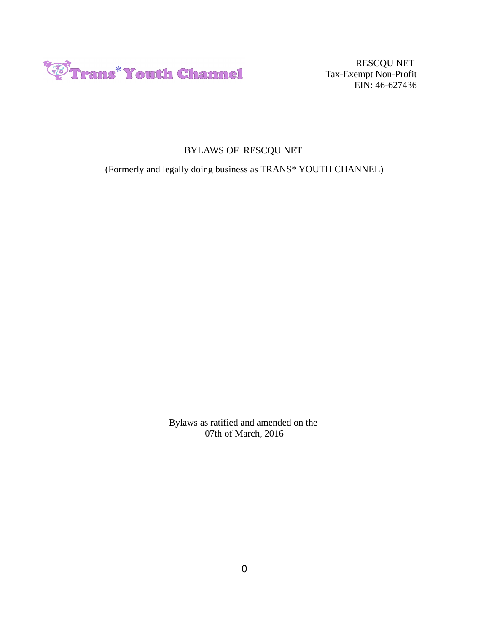

# BYLAWS OF RESCQU NET

(Formerly and legally doing business as TRANS\* YOUTH CHANNEL)

Bylaws as ratified and amended on the 07th of March, 2016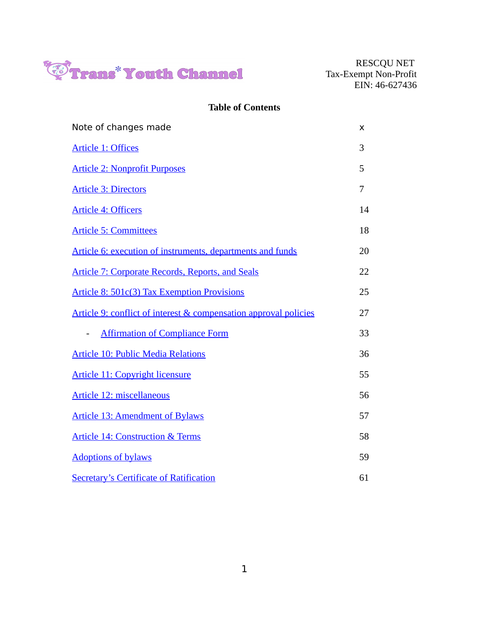

# **Table of Contents**

| Note of changes made                                             | X  |
|------------------------------------------------------------------|----|
| <b>Article 1: Offices</b>                                        | 3  |
| <b>Article 2: Nonprofit Purposes</b>                             | 5  |
| <b>Article 3: Directors</b>                                      | 7  |
| <b>Article 4: Officers</b>                                       | 14 |
| <b>Article 5: Committees</b>                                     | 18 |
| Article 6: execution of instruments, departments and funds       | 20 |
| <b>Article 7: Corporate Records, Reports, and Seals</b>          | 22 |
| <b>Article 8: 501c(3) Tax Exemption Provisions</b>               | 25 |
| Article 9: conflict of interest & compensation approval policies | 27 |
| <b>Affirmation of Compliance Form</b>                            | 33 |
| <b>Article 10: Public Media Relations</b>                        | 36 |
| <b>Article 11: Copyright licensure</b>                           | 55 |
| <b>Article 12: miscellaneous</b>                                 | 56 |
| <b>Article 13: Amendment of Bylaws</b>                           | 57 |
| <b>Article 14: Construction &amp; Terms</b>                      | 58 |
| <b>Adoptions of bylaws</b>                                       | 59 |
| <b>Secretary's Certificate of Ratification</b>                   | 61 |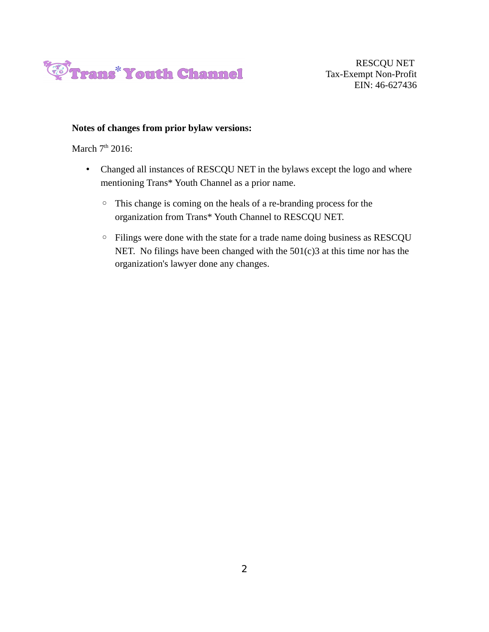

### **Notes of changes from prior bylaw versions:**

March  $7<sup>th</sup>$  2016:

- Changed all instances of RESCQU NET in the bylaws except the logo and where mentioning Trans\* Youth Channel as a prior name.
	- This change is coming on the heals of a re-branding process for the organization from Trans\* Youth Channel to RESCQU NET.
	- Filings were done with the state for a trade name doing business as RESCQU NET. No filings have been changed with the  $501(c)3$  at this time nor has the organization's lawyer done any changes.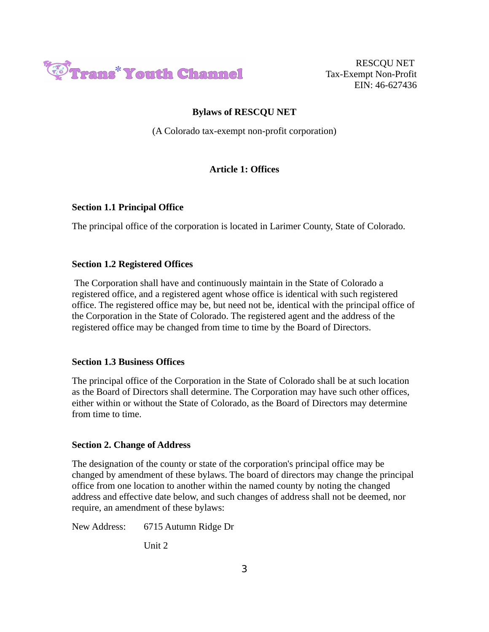

# **Bylaws of RESCQU NET**

(A Colorado tax-exempt non-profit corporation)

# <span id="page-3-0"></span>**Article 1: Offices**

# **Section 1.1 Principal Office**

The principal office of the corporation is located in Larimer County, State of Colorado.

# **Section 1.2 Registered Offices**

The Corporation shall have and continuously maintain in the State of Colorado a registered office, and a registered agent whose office is identical with such registered office. The registered office may be, but need not be, identical with the principal office of the Corporation in the State of Colorado. The registered agent and the address of the registered office may be changed from time to time by the Board of Directors.

# **Section 1.3 Business Offices**

The principal office of the Corporation in the State of Colorado shall be at such location as the Board of Directors shall determine. The Corporation may have such other offices, either within or without the State of Colorado, as the Board of Directors may determine from time to time.

# **Section 2. Change of Address**

The designation of the county or state of the corporation's principal office may be changed by amendment of these bylaws. The board of directors may change the principal office from one location to another within the named county by noting the changed address and effective date below, and such changes of address shall not be deemed, nor require, an amendment of these bylaws:

New Address: 6715 Autumn Ridge Dr

Unit 2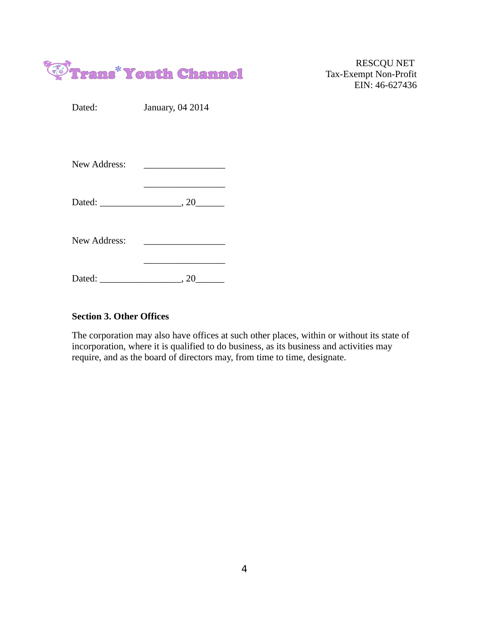

Dated: January, 04 2014

New Address:

 $\frac{1}{2}$  ,  $\frac{1}{2}$  ,  $\frac{1}{2}$  ,  $\frac{1}{2}$  ,  $\frac{1}{2}$  ,  $\frac{1}{2}$  ,  $\frac{1}{2}$  ,  $\frac{1}{2}$  ,  $\frac{1}{2}$  ,  $\frac{1}{2}$  ,  $\frac{1}{2}$  ,  $\frac{1}{2}$  ,  $\frac{1}{2}$  ,  $\frac{1}{2}$  ,  $\frac{1}{2}$  ,  $\frac{1}{2}$  ,  $\frac{1}{2}$  ,  $\frac{1}{2}$  ,  $\frac{1$ 

 $\overline{\phantom{a}}$  , where  $\overline{\phantom{a}}$ 

Dated: \_\_\_\_\_\_\_\_\_\_\_\_\_\_\_\_\_, 20\_\_\_\_\_\_

New Address: \_\_\_\_\_\_\_\_\_\_\_\_\_\_\_\_\_

Dated: \_\_\_\_\_\_\_\_\_\_\_\_\_\_\_\_\_, 20\_\_\_\_\_\_

# **Section 3. Other Offices**

The corporation may also have offices at such other places, within or without its state of incorporation, where it is qualified to do business, as its business and activities may require, and as the board of directors may, from time to time, designate.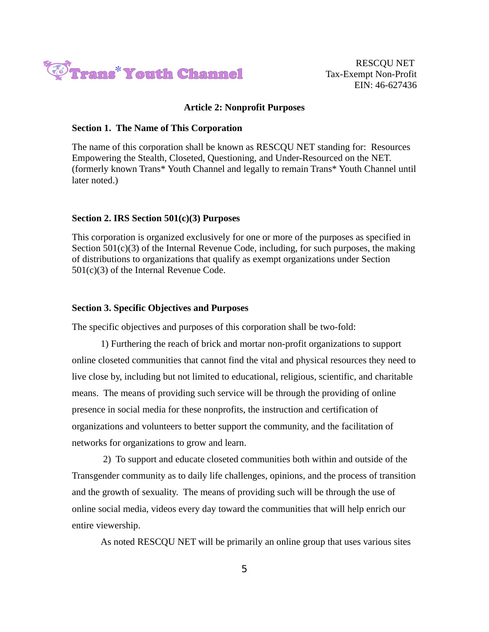

#### **Article 2: Nonprofit Purposes**

#### <span id="page-5-0"></span>**Section 1. The Name of This Corporation**

The name of this corporation shall be known as RESCQU NET standing for: Resources Empowering the Stealth, Closeted, Questioning, and Under-Resourced on the NET. (formerly known Trans\* Youth Channel and legally to remain Trans\* Youth Channel until later noted.)

### **Section 2. IRS Section 501(c)(3) Purposes**

This corporation is organized exclusively for one or more of the purposes as specified in Section 501(c)(3) of the Internal Revenue Code, including, for such purposes, the making of distributions to organizations that qualify as exempt organizations under Section  $501(c)(3)$  of the Internal Revenue Code.

#### **Section 3. Specific Objectives and Purposes**

The specific objectives and purposes of this corporation shall be two-fold:

1) Furthering the reach of brick and mortar non-profit organizations to support online closeted communities that cannot find the vital and physical resources they need to live close by, including but not limited to educational, religious, scientific, and charitable means. The means of providing such service will be through the providing of online presence in social media for these nonprofits, the instruction and certification of organizations and volunteers to better support the community, and the facilitation of networks for organizations to grow and learn.

 2) To support and educate closeted communities both within and outside of the Transgender community as to daily life challenges, opinions, and the process of transition and the growth of sexuality. The means of providing such will be through the use of online social media, videos every day toward the communities that will help enrich our entire viewership.

As noted RESCQU NET will be primarily an online group that uses various sites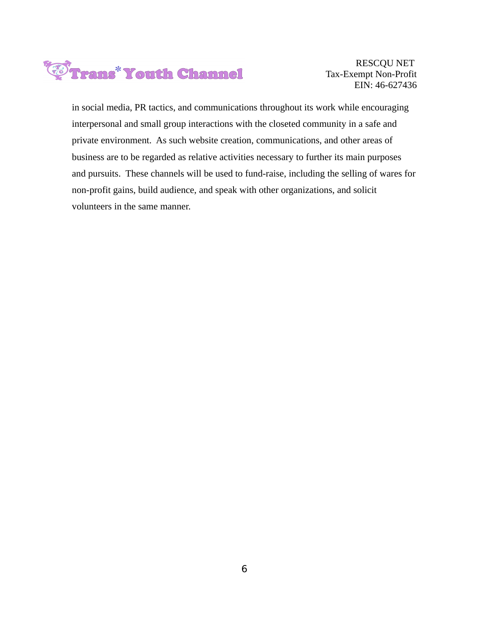

in social media, PR tactics, and communications throughout its work while encouraging interpersonal and small group interactions with the closeted community in a safe and private environment. As such website creation, communications, and other areas of business are to be regarded as relative activities necessary to further its main purposes and pursuits. These channels will be used to fund-raise, including the selling of wares for non-profit gains, build audience, and speak with other organizations, and solicit volunteers in the same manner.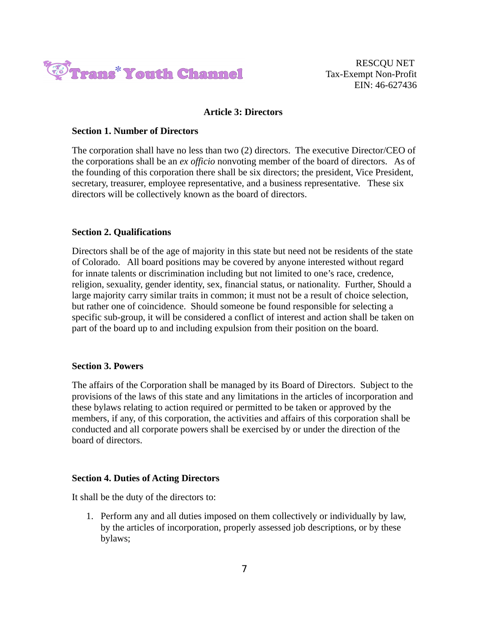

### **Article 3: Directors**

### <span id="page-7-0"></span>**Section 1. Number of Directors**

The corporation shall have no less than two (2) directors. The executive Director/CEO of the corporations shall be an *ex officio* nonvoting member of the board of directors. As of the founding of this corporation there shall be six directors; the president, Vice President, secretary, treasurer, employee representative, and a business representative. These six directors will be collectively known as the board of directors.

# **Section 2. Qualifications**

Directors shall be of the age of majority in this state but need not be residents of the state of Colorado. All board positions may be covered by anyone interested without regard for innate talents or discrimination including but not limited to one's race, credence, religion, sexuality, gender identity, sex, financial status, or nationality. Further, Should a large majority carry similar traits in common; it must not be a result of choice selection, but rather one of coincidence. Should someone be found responsible for selecting a specific sub-group, it will be considered a conflict of interest and action shall be taken on part of the board up to and including expulsion from their position on the board.

#### **Section 3. Powers**

The affairs of the Corporation shall be managed by its Board of Directors. Subject to the provisions of the laws of this state and any limitations in the articles of incorporation and these bylaws relating to action required or permitted to be taken or approved by the members, if any, of this corporation, the activities and affairs of this corporation shall be conducted and all corporate powers shall be exercised by or under the direction of the board of directors.

#### **Section 4. Duties of Acting Directors**

It shall be the duty of the directors to:

1. Perform any and all duties imposed on them collectively or individually by law, by the articles of incorporation, properly assessed job descriptions, or by these bylaws;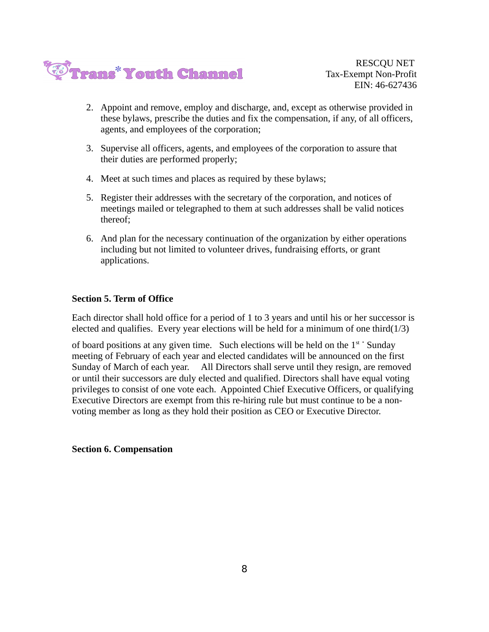

- 2. Appoint and remove, employ and discharge, and, except as otherwise provided in these bylaws, prescribe the duties and fix the compensation, if any, of all officers, agents, and employees of the corporation;
- 3. Supervise all officers, agents, and employees of the corporation to assure that their duties are performed properly;
- 4. Meet at such times and places as required by these bylaws;
- 5. Register their addresses with the secretary of the corporation, and notices of meetings mailed or telegraphed to them at such addresses shall be valid notices thereof;
- 6. And plan for the necessary continuation of the organization by either operations including but not limited to volunteer drives, fundraising efforts, or grant applications.

# **Section 5. Term of Office**

Each director shall hold office for a period of 1 to 3 years and until his or her successor is elected and qualifies. Every year elections will be held for a minimum of one third $(1/3)$ 

of board positions at any given time. Such elections will be held on the  $1^{st}$  'Sunday meeting of February of each year and elected candidates will be announced on the first Sunday of March of each year. All Directors shall serve until they resign, are removed or until their successors are duly elected and qualified. Directors shall have equal voting privileges to consist of one vote each. Appointed Chief Executive Officers, or qualifying Executive Directors are exempt from this re-hiring rule but must continue to be a nonvoting member as long as they hold their position as CEO or Executive Director.

**Section 6. Compensation**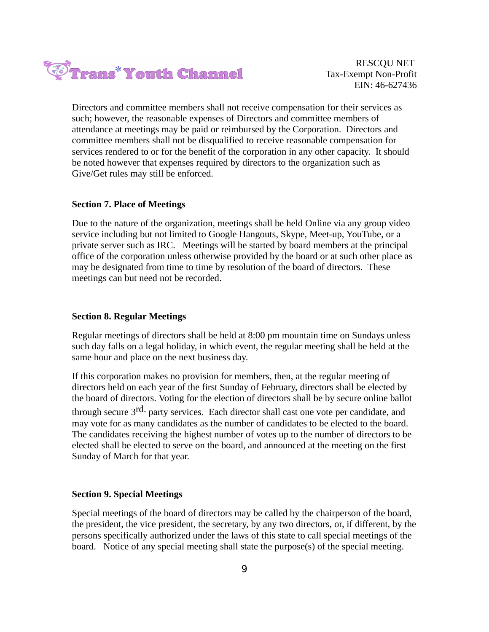

Directors and committee members shall not receive compensation for their services as such; however, the reasonable expenses of Directors and committee members of attendance at meetings may be paid or reimbursed by the Corporation. Directors and committee members shall not be disqualified to receive reasonable compensation for services rendered to or for the benefit of the corporation in any other capacity. It should be noted however that expenses required by directors to the organization such as Give/Get rules may still be enforced.

### **Section 7. Place of Meetings**

Due to the nature of the organization, meetings shall be held Online via any group video service including but not limited to Google Hangouts, Skype, Meet-up, YouTube, or a private server such as IRC. Meetings will be started by board members at the principal office of the corporation unless otherwise provided by the board or at such other place as may be designated from time to time by resolution of the board of directors. These meetings can but need not be recorded.

### **Section 8. Regular Meetings**

Regular meetings of directors shall be held at 8:00 pm mountain time on Sundays unless such day falls on a legal holiday, in which event, the regular meeting shall be held at the same hour and place on the next business day.

If this corporation makes no provision for members, then, at the regular meeting of directors held on each year of the first Sunday of February, directors shall be elected by the board of directors. Voting for the election of directors shall be by secure online ballot through secure 3<sup>rd.</sup> party services. Each director shall cast one vote per candidate, and may vote for as many candidates as the number of candidates to be elected to the board. The candidates receiving the highest number of votes up to the number of directors to be elected shall be elected to serve on the board, and announced at the meeting on the first Sunday of March for that year.

#### **Section 9. Special Meetings**

Special meetings of the board of directors may be called by the chairperson of the board, the president, the vice president, the secretary, by any two directors, or, if different, by the persons specifically authorized under the laws of this state to call special meetings of the board. Notice of any special meeting shall state the purpose(s) of the special meeting.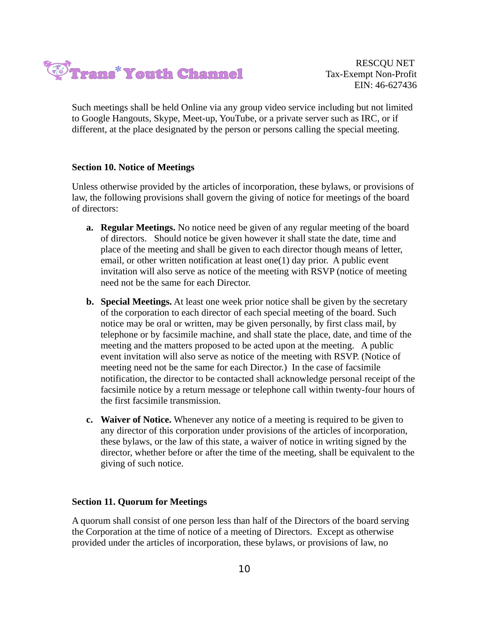

Such meetings shall be held Online via any group video service including but not limited to Google Hangouts, Skype, Meet-up, YouTube, or a private server such as IRC, or if different, at the place designated by the person or persons calling the special meeting.

### **Section 10. Notice of Meetings**

Unless otherwise provided by the articles of incorporation, these bylaws, or provisions of law, the following provisions shall govern the giving of notice for meetings of the board of directors:

- **a. Regular Meetings.** No notice need be given of any regular meeting of the board of directors. Should notice be given however it shall state the date, time and place of the meeting and shall be given to each director though means of letter, email, or other written notification at least one(1) day prior. A public event invitation will also serve as notice of the meeting with RSVP (notice of meeting need not be the same for each Director.
- **b. Special Meetings.** At least one week prior notice shall be given by the secretary of the corporation to each director of each special meeting of the board. Such notice may be oral or written, may be given personally, by first class mail, by telephone or by facsimile machine, and shall state the place, date, and time of the meeting and the matters proposed to be acted upon at the meeting. A public event invitation will also serve as notice of the meeting with RSVP. (Notice of meeting need not be the same for each Director.) In the case of facsimile notification, the director to be contacted shall acknowledge personal receipt of the facsimile notice by a return message or telephone call within twenty-four hours of the first facsimile transmission.
- **c. Waiver of Notice.** Whenever any notice of a meeting is required to be given to any director of this corporation under provisions of the articles of incorporation, these bylaws, or the law of this state, a waiver of notice in writing signed by the director, whether before or after the time of the meeting, shall be equivalent to the giving of such notice.

#### **Section 11. Quorum for Meetings**

A quorum shall consist of one person less than half of the Directors of the board serving the Corporation at the time of notice of a meeting of Directors. Except as otherwise provided under the articles of incorporation, these bylaws, or provisions of law, no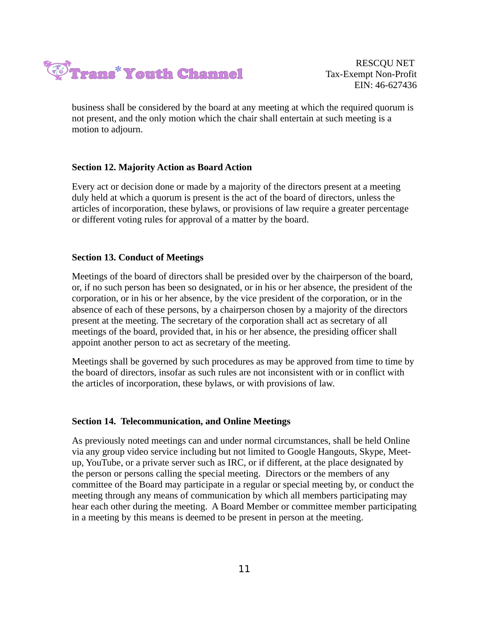

business shall be considered by the board at any meeting at which the required quorum is not present, and the only motion which the chair shall entertain at such meeting is a motion to adjourn.

### **Section 12. Majority Action as Board Action**

Every act or decision done or made by a majority of the directors present at a meeting duly held at which a quorum is present is the act of the board of directors, unless the articles of incorporation, these bylaws, or provisions of law require a greater percentage or different voting rules for approval of a matter by the board.

### **Section 13. Conduct of Meetings**

Meetings of the board of directors shall be presided over by the chairperson of the board, or, if no such person has been so designated, or in his or her absence, the president of the corporation, or in his or her absence, by the vice president of the corporation, or in the absence of each of these persons, by a chairperson chosen by a majority of the directors present at the meeting. The secretary of the corporation shall act as secretary of all meetings of the board, provided that, in his or her absence, the presiding officer shall appoint another person to act as secretary of the meeting.

Meetings shall be governed by such procedures as may be approved from time to time by the board of directors, insofar as such rules are not inconsistent with or in conflict with the articles of incorporation, these bylaws, or with provisions of law.

#### **Section 14. Telecommunication, and Online Meetings**

As previously noted meetings can and under normal circumstances, shall be held Online via any group video service including but not limited to Google Hangouts, Skype, Meetup, YouTube, or a private server such as IRC, or if different, at the place designated by the person or persons calling the special meeting. Directors or the members of any committee of the Board may participate in a regular or special meeting by, or conduct the meeting through any means of communication by which all members participating may hear each other during the meeting. A Board Member or committee member participating in a meeting by this means is deemed to be present in person at the meeting.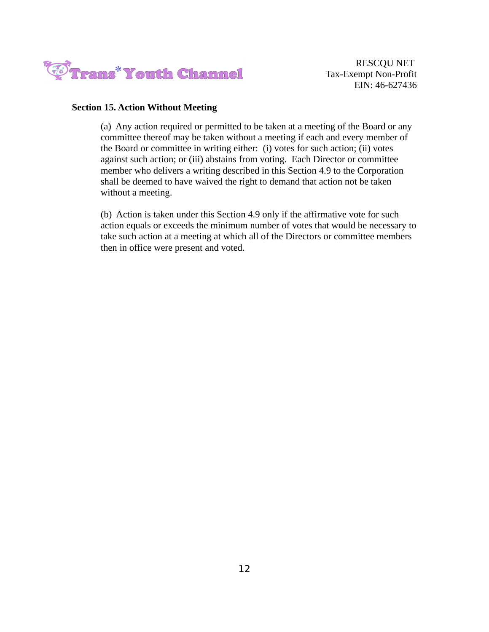

### **Section 15. Action Without Meeting**

(a) Any action required or permitted to be taken at a meeting of the Board or any committee thereof may be taken without a meeting if each and every member of the Board or committee in writing either: (i) votes for such action; (ii) votes against such action; or (iii) abstains from voting. Each Director or committee member who delivers a writing described in this Section 4.9 to the Corporation shall be deemed to have waived the right to demand that action not be taken without a meeting.

(b) Action is taken under this Section 4.9 only if the affirmative vote for such action equals or exceeds the minimum number of votes that would be necessary to take such action at a meeting at which all of the Directors or committee members then in office were present and voted.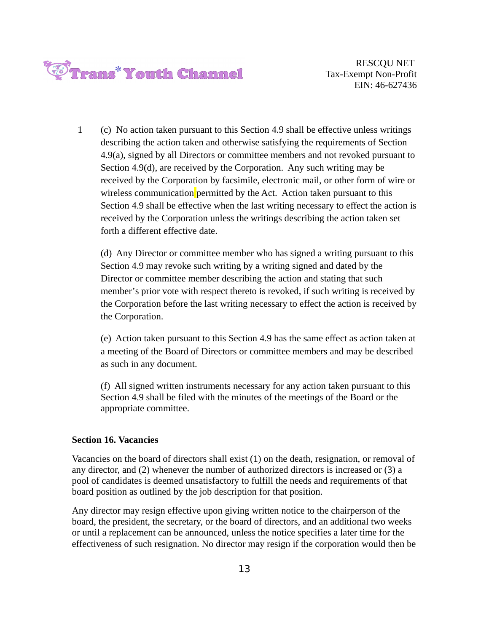

1 (c) No action taken pursuant to this Section 4.9 shall be effective unless writings describing the action taken and otherwise satisfying the requirements of Section 4.9(a), signed by all Directors or committee members and not revoked pursuant to Section 4.9(d), are received by the Corporation. Any such writing may be received by the Corporation by facsimile, electronic mail, or other form of wire or wireless communication permitted by the Act. Action taken pursuant to this Section 4.9 shall be effective when the last writing necessary to effect the action is received by the Corporation unless the writings describing the action taken set forth a different effective date.

(d) Any Director or committee member who has signed a writing pursuant to this Section 4.9 may revoke such writing by a writing signed and dated by the Director or committee member describing the action and stating that such member's prior vote with respect thereto is revoked, if such writing is received by the Corporation before the last writing necessary to effect the action is received by the Corporation.

(e) Action taken pursuant to this Section 4.9 has the same effect as action taken at a meeting of the Board of Directors or committee members and may be described as such in any document.

(f) All signed written instruments necessary for any action taken pursuant to this Section 4.9 shall be filed with the minutes of the meetings of the Board or the appropriate committee.

# **Section 16. Vacancies**

Vacancies on the board of directors shall exist (1) on the death, resignation, or removal of any director, and (2) whenever the number of authorized directors is increased or (3) a pool of candidates is deemed unsatisfactory to fulfill the needs and requirements of that board position as outlined by the job description for that position.

Any director may resign effective upon giving written notice to the chairperson of the board, the president, the secretary, or the board of directors, and an additional two weeks or until a replacement can be announced, unless the notice specifies a later time for the effectiveness of such resignation. No director may resign if the corporation would then be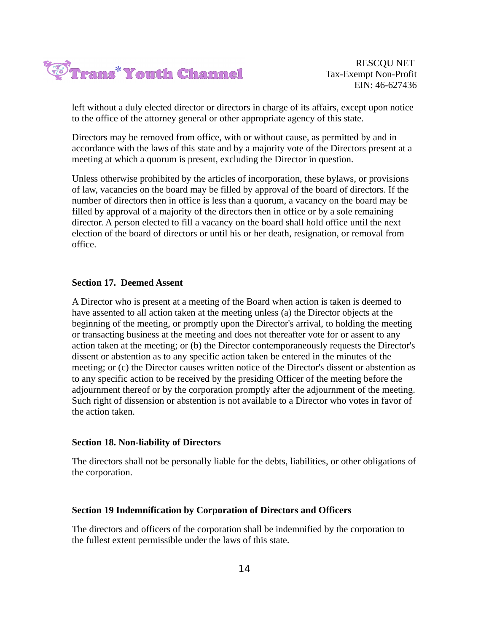

left without a duly elected director or directors in charge of its affairs, except upon notice to the office of the attorney general or other appropriate agency of this state.

Directors may be removed from office, with or without cause, as permitted by and in accordance with the laws of this state and by a majority vote of the Directors present at a meeting at which a quorum is present, excluding the Director in question.

Unless otherwise prohibited by the articles of incorporation, these bylaws, or provisions of law, vacancies on the board may be filled by approval of the board of directors. If the number of directors then in office is less than a quorum, a vacancy on the board may be filled by approval of a majority of the directors then in office or by a sole remaining director. A person elected to fill a vacancy on the board shall hold office until the next election of the board of directors or until his or her death, resignation, or removal from office.

#### **Section 17. Deemed Assent**

A Director who is present at a meeting of the Board when action is taken is deemed to have assented to all action taken at the meeting unless (a) the Director objects at the beginning of the meeting, or promptly upon the Director's arrival, to holding the meeting or transacting business at the meeting and does not thereafter vote for or assent to any action taken at the meeting; or (b) the Director contemporaneously requests the Director's dissent or abstention as to any specific action taken be entered in the minutes of the meeting; or (c) the Director causes written notice of the Director's dissent or abstention as to any specific action to be received by the presiding Officer of the meeting before the adjournment thereof or by the corporation promptly after the adjournment of the meeting. Such right of dissension or abstention is not available to a Director who votes in favor of the action taken.

#### **Section 18. Non-liability of Directors**

The directors shall not be personally liable for the debts, liabilities, or other obligations of the corporation.

#### **Section 19 Indemnification by Corporation of Directors and Officers**

The directors and officers of the corporation shall be indemnified by the corporation to the fullest extent permissible under the laws of this state.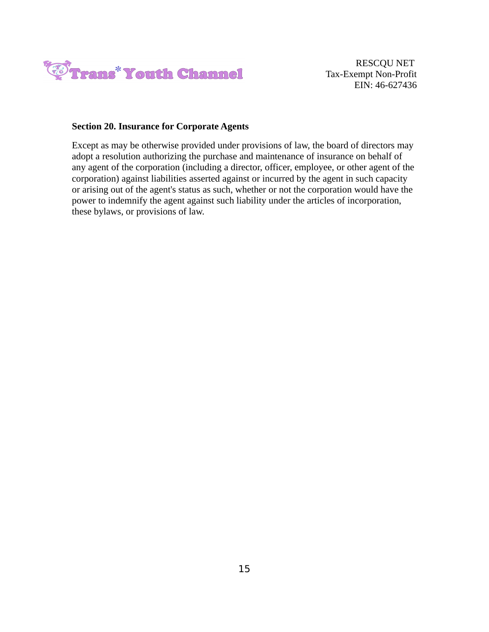

### **Section 20. Insurance for Corporate Agents**

Except as may be otherwise provided under provisions of law, the board of directors may adopt a resolution authorizing the purchase and maintenance of insurance on behalf of any agent of the corporation (including a director, officer, employee, or other agent of the corporation) against liabilities asserted against or incurred by the agent in such capacity or arising out of the agent's status as such, whether or not the corporation would have the power to indemnify the agent against such liability under the articles of incorporation, these bylaws, or provisions of law.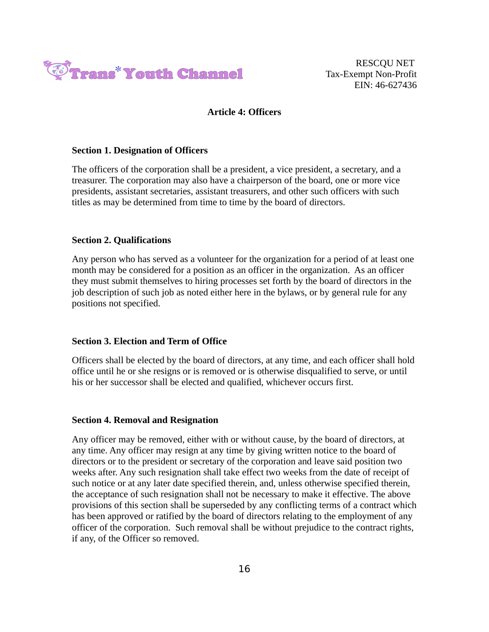

# **Article 4: Officers**

### <span id="page-16-0"></span>**Section 1. Designation of Officers**

The officers of the corporation shall be a president, a vice president, a secretary, and a treasurer. The corporation may also have a chairperson of the board, one or more vice presidents, assistant secretaries, assistant treasurers, and other such officers with such titles as may be determined from time to time by the board of directors.

### **Section 2. Qualifications**

Any person who has served as a volunteer for the organization for a period of at least one month may be considered for a position as an officer in the organization. As an officer they must submit themselves to hiring processes set forth by the board of directors in the job description of such job as noted either here in the bylaws, or by general rule for any positions not specified.

#### **Section 3. Election and Term of Office**

Officers shall be elected by the board of directors, at any time, and each officer shall hold office until he or she resigns or is removed or is otherwise disqualified to serve, or until his or her successor shall be elected and qualified, whichever occurs first.

#### **Section 4. Removal and Resignation**

Any officer may be removed, either with or without cause, by the board of directors, at any time. Any officer may resign at any time by giving written notice to the board of directors or to the president or secretary of the corporation and leave said position two weeks after. Any such resignation shall take effect two weeks from the date of receipt of such notice or at any later date specified therein, and, unless otherwise specified therein, the acceptance of such resignation shall not be necessary to make it effective. The above provisions of this section shall be superseded by any conflicting terms of a contract which has been approved or ratified by the board of directors relating to the employment of any officer of the corporation. Such removal shall be without prejudice to the contract rights, if any, of the Officer so removed.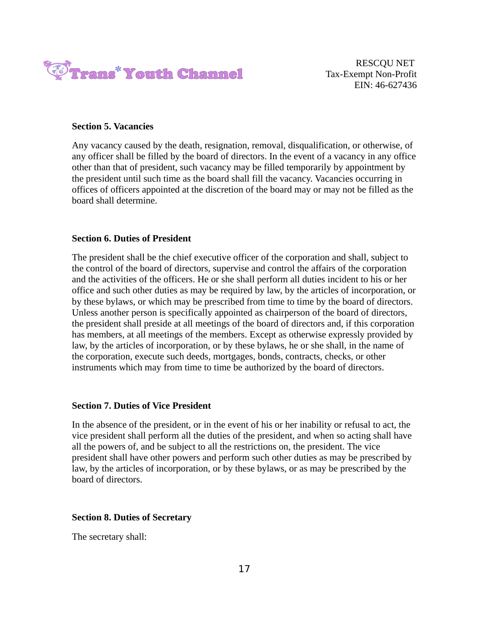

### **Section 5. Vacancies**

Any vacancy caused by the death, resignation, removal, disqualification, or otherwise, of any officer shall be filled by the board of directors. In the event of a vacancy in any office other than that of president, such vacancy may be filled temporarily by appointment by the president until such time as the board shall fill the vacancy. Vacancies occurring in offices of officers appointed at the discretion of the board may or may not be filled as the board shall determine.

### **Section 6. Duties of President**

The president shall be the chief executive officer of the corporation and shall, subject to the control of the board of directors, supervise and control the affairs of the corporation and the activities of the officers. He or she shall perform all duties incident to his or her office and such other duties as may be required by law, by the articles of incorporation, or by these bylaws, or which may be prescribed from time to time by the board of directors. Unless another person is specifically appointed as chairperson of the board of directors, the president shall preside at all meetings of the board of directors and, if this corporation has members, at all meetings of the members. Except as otherwise expressly provided by law, by the articles of incorporation, or by these bylaws, he or she shall, in the name of the corporation, execute such deeds, mortgages, bonds, contracts, checks, or other instruments which may from time to time be authorized by the board of directors.

#### **Section 7. Duties of Vice President**

In the absence of the president, or in the event of his or her inability or refusal to act, the vice president shall perform all the duties of the president, and when so acting shall have all the powers of, and be subject to all the restrictions on, the president. The vice president shall have other powers and perform such other duties as may be prescribed by law, by the articles of incorporation, or by these bylaws, or as may be prescribed by the board of directors.

#### **Section 8. Duties of Secretary**

The secretary shall: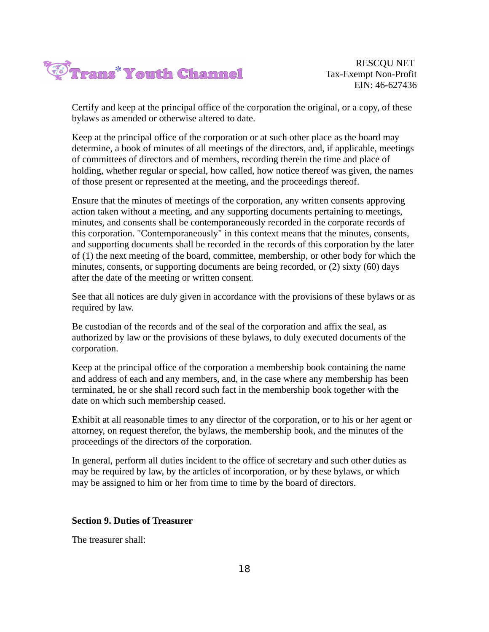

Certify and keep at the principal office of the corporation the original, or a copy, of these bylaws as amended or otherwise altered to date.

Keep at the principal office of the corporation or at such other place as the board may determine, a book of minutes of all meetings of the directors, and, if applicable, meetings of committees of directors and of members, recording therein the time and place of holding, whether regular or special, how called, how notice thereof was given, the names of those present or represented at the meeting, and the proceedings thereof.

Ensure that the minutes of meetings of the corporation, any written consents approving action taken without a meeting, and any supporting documents pertaining to meetings, minutes, and consents shall be contemporaneously recorded in the corporate records of this corporation. "Contemporaneously" in this context means that the minutes, consents, and supporting documents shall be recorded in the records of this corporation by the later of (1) the next meeting of the board, committee, membership, or other body for which the minutes, consents, or supporting documents are being recorded, or (2) sixty (60) days after the date of the meeting or written consent.

See that all notices are duly given in accordance with the provisions of these bylaws or as required by law.

Be custodian of the records and of the seal of the corporation and affix the seal, as authorized by law or the provisions of these bylaws, to duly executed documents of the corporation.

Keep at the principal office of the corporation a membership book containing the name and address of each and any members, and, in the case where any membership has been terminated, he or she shall record such fact in the membership book together with the date on which such membership ceased.

Exhibit at all reasonable times to any director of the corporation, or to his or her agent or attorney, on request therefor, the bylaws, the membership book, and the minutes of the proceedings of the directors of the corporation.

In general, perform all duties incident to the office of secretary and such other duties as may be required by law, by the articles of incorporation, or by these bylaws, or which may be assigned to him or her from time to time by the board of directors.

#### **Section 9. Duties of Treasurer**

The treasurer shall: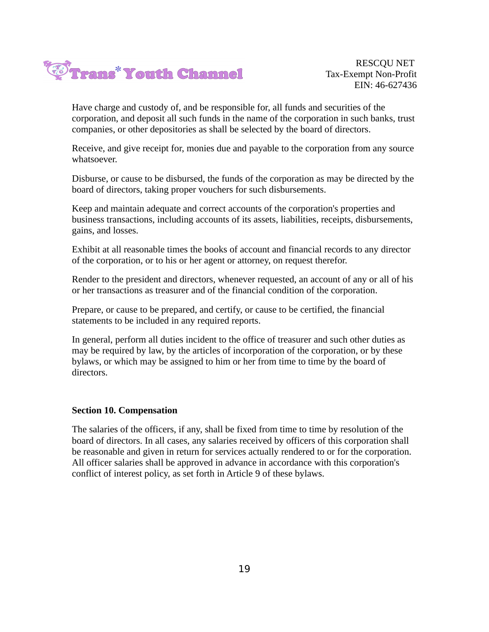

Have charge and custody of, and be responsible for, all funds and securities of the corporation, and deposit all such funds in the name of the corporation in such banks, trust companies, or other depositories as shall be selected by the board of directors.

Receive, and give receipt for, monies due and payable to the corporation from any source whatsoever.

Disburse, or cause to be disbursed, the funds of the corporation as may be directed by the board of directors, taking proper vouchers for such disbursements.

Keep and maintain adequate and correct accounts of the corporation's properties and business transactions, including accounts of its assets, liabilities, receipts, disbursements, gains, and losses.

Exhibit at all reasonable times the books of account and financial records to any director of the corporation, or to his or her agent or attorney, on request therefor.

Render to the president and directors, whenever requested, an account of any or all of his or her transactions as treasurer and of the financial condition of the corporation.

Prepare, or cause to be prepared, and certify, or cause to be certified, the financial statements to be included in any required reports.

In general, perform all duties incident to the office of treasurer and such other duties as may be required by law, by the articles of incorporation of the corporation, or by these bylaws, or which may be assigned to him or her from time to time by the board of directors.

# **Section 10. Compensation**

The salaries of the officers, if any, shall be fixed from time to time by resolution of the board of directors. In all cases, any salaries received by officers of this corporation shall be reasonable and given in return for services actually rendered to or for the corporation. All officer salaries shall be approved in advance in accordance with this corporation's conflict of interest policy, as set forth in Article 9 of these bylaws.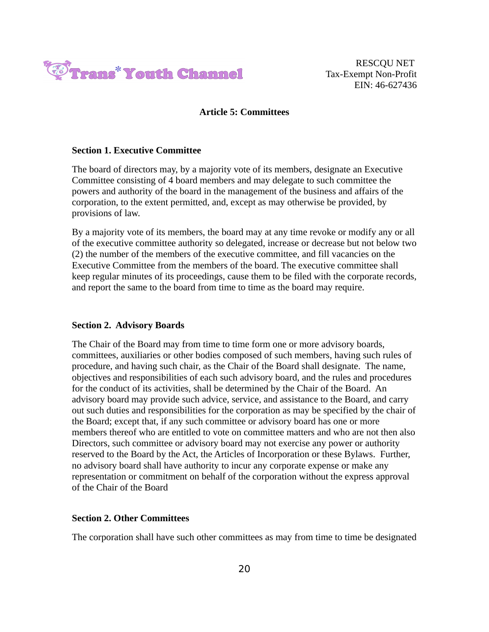

### **Article 5: Committees**

#### <span id="page-20-0"></span>**Section 1. Executive Committee**

The board of directors may, by a majority vote of its members, designate an Executive Committee consisting of 4 board members and may delegate to such committee the powers and authority of the board in the management of the business and affairs of the corporation, to the extent permitted, and, except as may otherwise be provided, by provisions of law.

By a majority vote of its members, the board may at any time revoke or modify any or all of the executive committee authority so delegated, increase or decrease but not below two (2) the number of the members of the executive committee, and fill vacancies on the Executive Committee from the members of the board. The executive committee shall keep regular minutes of its proceedings, cause them to be filed with the corporate records, and report the same to the board from time to time as the board may require.

#### **Section 2. Advisory Boards**

The Chair of the Board may from time to time form one or more advisory boards, committees, auxiliaries or other bodies composed of such members, having such rules of procedure, and having such chair, as the Chair of the Board shall designate. The name, objectives and responsibilities of each such advisory board, and the rules and procedures for the conduct of its activities, shall be determined by the Chair of the Board. An advisory board may provide such advice, service, and assistance to the Board, and carry out such duties and responsibilities for the corporation as may be specified by the chair of the Board; except that, if any such committee or advisory board has one or more members thereof who are entitled to vote on committee matters and who are not then also Directors, such committee or advisory board may not exercise any power or authority reserved to the Board by the Act, the Articles of Incorporation or these Bylaws. Further, no advisory board shall have authority to incur any corporate expense or make any representation or commitment on behalf of the corporation without the express approval of the Chair of the Board

#### **Section 2. Other Committees**

The corporation shall have such other committees as may from time to time be designated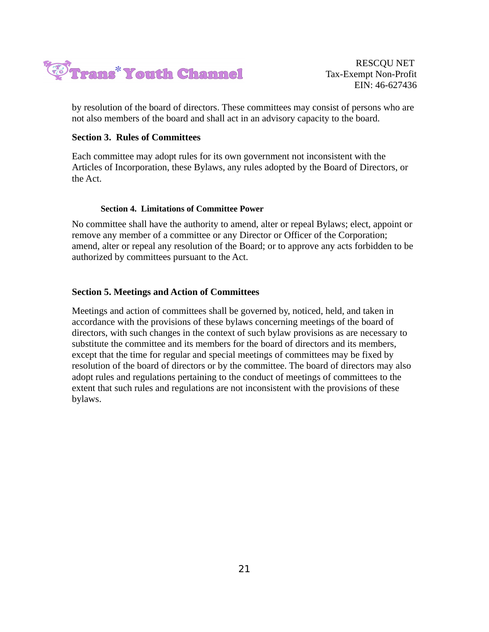

by resolution of the board of directors. These committees may consist of persons who are not also members of the board and shall act in an advisory capacity to the board.

### **Section 3. Rules of Committees**

Each committee may adopt rules for its own government not inconsistent with the Articles of Incorporation, these Bylaws, any rules adopted by the Board of Directors, or the Act.

#### **Section 4. Limitations of Committee Power**

No committee shall have the authority to amend, alter or repeal Bylaws; elect, appoint or remove any member of a committee or any Director or Officer of the Corporation; amend, alter or repeal any resolution of the Board; or to approve any acts forbidden to be authorized by committees pursuant to the Act.

# **Section 5. Meetings and Action of Committees**

Meetings and action of committees shall be governed by, noticed, held, and taken in accordance with the provisions of these bylaws concerning meetings of the board of directors, with such changes in the context of such bylaw provisions as are necessary to substitute the committee and its members for the board of directors and its members, except that the time for regular and special meetings of committees may be fixed by resolution of the board of directors or by the committee. The board of directors may also adopt rules and regulations pertaining to the conduct of meetings of committees to the extent that such rules and regulations are not inconsistent with the provisions of these bylaws.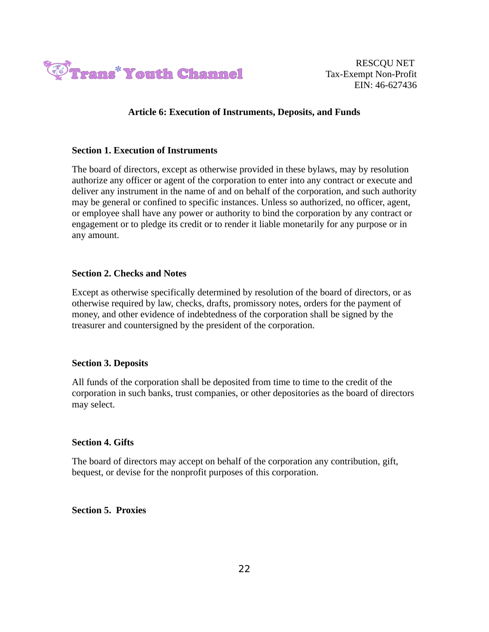

### <span id="page-22-0"></span>**Article 6: Execution of Instruments, Deposits, and Funds**

### **Section 1. Execution of Instruments**

The board of directors, except as otherwise provided in these bylaws, may by resolution authorize any officer or agent of the corporation to enter into any contract or execute and deliver any instrument in the name of and on behalf of the corporation, and such authority may be general or confined to specific instances. Unless so authorized, no officer, agent, or employee shall have any power or authority to bind the corporation by any contract or engagement or to pledge its credit or to render it liable monetarily for any purpose or in any amount.

# **Section 2. Checks and Notes**

Except as otherwise specifically determined by resolution of the board of directors, or as otherwise required by law, checks, drafts, promissory notes, orders for the payment of money, and other evidence of indebtedness of the corporation shall be signed by the treasurer and countersigned by the president of the corporation.

# **Section 3. Deposits**

All funds of the corporation shall be deposited from time to time to the credit of the corporation in such banks, trust companies, or other depositories as the board of directors may select.

#### **Section 4. Gifts**

The board of directors may accept on behalf of the corporation any contribution, gift, bequest, or devise for the nonprofit purposes of this corporation.

### **Section 5. Proxies**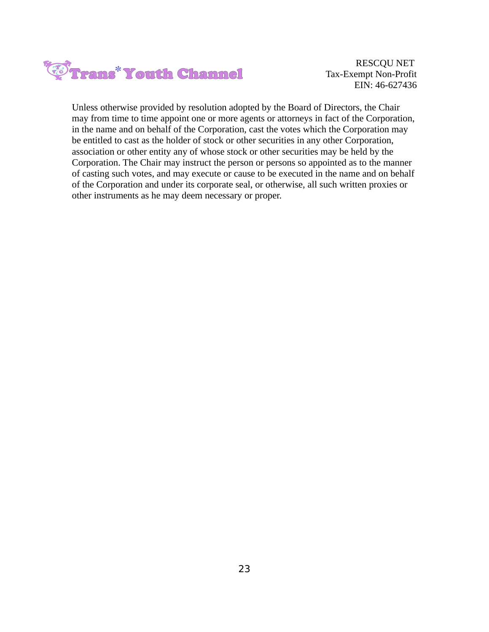

Unless otherwise provided by resolution adopted by the Board of Directors, the Chair may from time to time appoint one or more agents or attorneys in fact of the Corporation, in the name and on behalf of the Corporation, cast the votes which the Corporation may be entitled to cast as the holder of stock or other securities in any other Corporation, association or other entity any of whose stock or other securities may be held by the Corporation. The Chair may instruct the person or persons so appointed as to the manner of casting such votes, and may execute or cause to be executed in the name and on behalf of the Corporation and under its corporate seal, or otherwise, all such written proxies or other instruments as he may deem necessary or proper.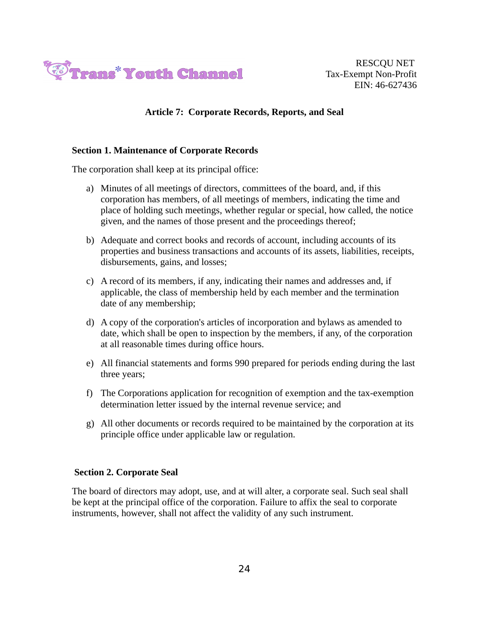

# <span id="page-24-0"></span>**Article 7: Corporate Records, Reports, and Seal**

### **Section 1. Maintenance of Corporate Records**

The corporation shall keep at its principal office:

- a) Minutes of all meetings of directors, committees of the board, and, if this corporation has members, of all meetings of members, indicating the time and place of holding such meetings, whether regular or special, how called, the notice given, and the names of those present and the proceedings thereof;
- b) Adequate and correct books and records of account, including accounts of its properties and business transactions and accounts of its assets, liabilities, receipts, disbursements, gains, and losses;
- c) A record of its members, if any, indicating their names and addresses and, if applicable, the class of membership held by each member and the termination date of any membership;
- d) A copy of the corporation's articles of incorporation and bylaws as amended to date, which shall be open to inspection by the members, if any, of the corporation at all reasonable times during office hours.
- e) All financial statements and forms 990 prepared for periods ending during the last three years;
- f) The Corporations application for recognition of exemption and the tax-exemption determination letter issued by the internal revenue service; and
- g) All other documents or records required to be maintained by the corporation at its principle office under applicable law or regulation.

# **Section 2. Corporate Seal**

The board of directors may adopt, use, and at will alter, a corporate seal. Such seal shall be kept at the principal office of the corporation. Failure to affix the seal to corporate instruments, however, shall not affect the validity of any such instrument.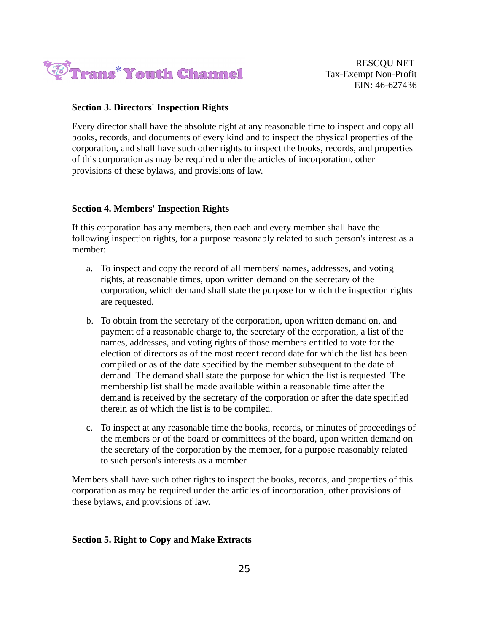

# **Section 3. Directors' Inspection Rights**

Every director shall have the absolute right at any reasonable time to inspect and copy all books, records, and documents of every kind and to inspect the physical properties of the corporation, and shall have such other rights to inspect the books, records, and properties of this corporation as may be required under the articles of incorporation, other provisions of these bylaws, and provisions of law.

### **Section 4. Members' Inspection Rights**

If this corporation has any members, then each and every member shall have the following inspection rights, for a purpose reasonably related to such person's interest as a member:

- a. To inspect and copy the record of all members' names, addresses, and voting rights, at reasonable times, upon written demand on the secretary of the corporation, which demand shall state the purpose for which the inspection rights are requested.
- b. To obtain from the secretary of the corporation, upon written demand on, and payment of a reasonable charge to, the secretary of the corporation, a list of the names, addresses, and voting rights of those members entitled to vote for the election of directors as of the most recent record date for which the list has been compiled or as of the date specified by the member subsequent to the date of demand. The demand shall state the purpose for which the list is requested. The membership list shall be made available within a reasonable time after the demand is received by the secretary of the corporation or after the date specified therein as of which the list is to be compiled.
- c. To inspect at any reasonable time the books, records, or minutes of proceedings of the members or of the board or committees of the board, upon written demand on the secretary of the corporation by the member, for a purpose reasonably related to such person's interests as a member.

Members shall have such other rights to inspect the books, records, and properties of this corporation as may be required under the articles of incorporation, other provisions of these bylaws, and provisions of law.

# **Section 5. Right to Copy and Make Extracts**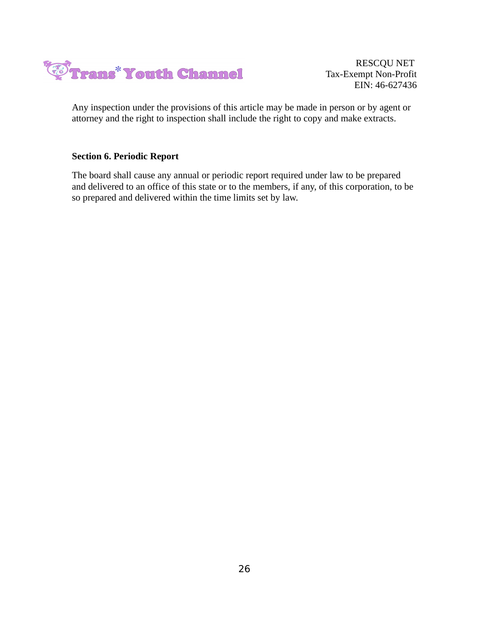

Any inspection under the provisions of this article may be made in person or by agent or attorney and the right to inspection shall include the right to copy and make extracts.

# **Section 6. Periodic Report**

The board shall cause any annual or periodic report required under law to be prepared and delivered to an office of this state or to the members, if any, of this corporation, to be so prepared and delivered within the time limits set by law.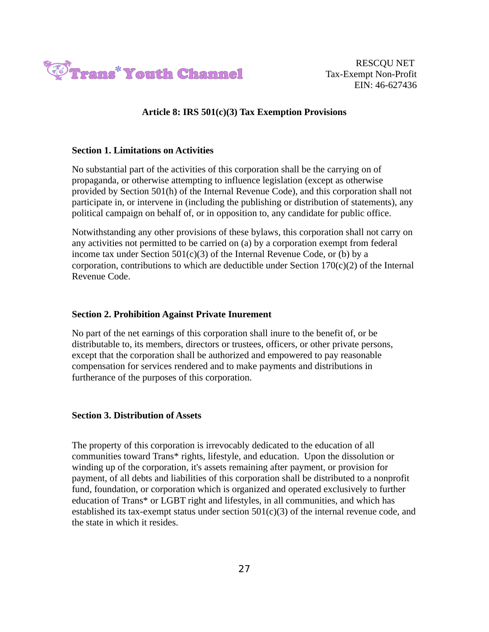

# **Article 8: IRS 501(c)(3) Tax Exemption Provisions**

### <span id="page-27-0"></span>**Section 1. Limitations on Activities**

No substantial part of the activities of this corporation shall be the carrying on of propaganda, or otherwise attempting to influence legislation (except as otherwise provided by Section 501(h) of the Internal Revenue Code), and this corporation shall not participate in, or intervene in (including the publishing or distribution of statements), any political campaign on behalf of, or in opposition to, any candidate for public office.

Notwithstanding any other provisions of these bylaws, this corporation shall not carry on any activities not permitted to be carried on (a) by a corporation exempt from federal income tax under Section  $501(c)(3)$  of the Internal Revenue Code, or (b) by a corporation, contributions to which are deductible under Section  $170(c)(2)$  of the Internal Revenue Code.

### **Section 2. Prohibition Against Private Inurement**

No part of the net earnings of this corporation shall inure to the benefit of, or be distributable to, its members, directors or trustees, officers, or other private persons, except that the corporation shall be authorized and empowered to pay reasonable compensation for services rendered and to make payments and distributions in furtherance of the purposes of this corporation.

#### **Section 3. Distribution of Assets**

The property of this corporation is irrevocably dedicated to the education of all communities toward Trans\* rights, lifestyle, and education. Upon the dissolution or winding up of the corporation, it's assets remaining after payment, or provision for payment, of all debts and liabilities of this corporation shall be distributed to a nonprofit fund, foundation, or corporation which is organized and operated exclusively to further education of Trans\* or LGBT right and lifestyles, in all communities, and which has established its tax-exempt status under section  $501(c)(3)$  of the internal revenue code, and the state in which it resides.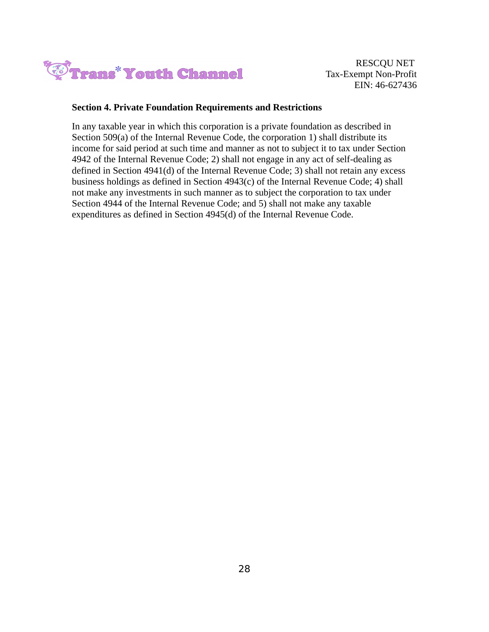

# **Section 4. Private Foundation Requirements and Restrictions**

In any taxable year in which this corporation is a private foundation as described in Section 509(a) of the Internal Revenue Code, the corporation 1) shall distribute its income for said period at such time and manner as not to subject it to tax under Section 4942 of the Internal Revenue Code; 2) shall not engage in any act of self-dealing as defined in Section 4941(d) of the Internal Revenue Code; 3) shall not retain any excess business holdings as defined in Section 4943(c) of the Internal Revenue Code; 4) shall not make any investments in such manner as to subject the corporation to tax under Section 4944 of the Internal Revenue Code; and 5) shall not make any taxable expenditures as defined in Section 4945(d) of the Internal Revenue Code.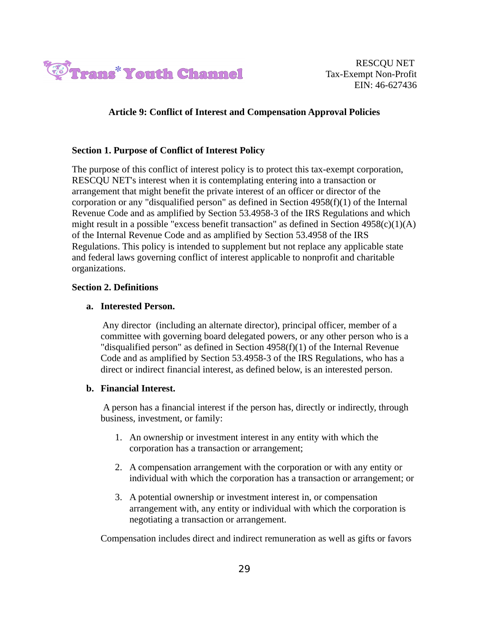

# **Article 9: Conflict of Interest and Compensation Approval Policies**

# <span id="page-29-0"></span>**Section 1. Purpose of Conflict of Interest Policy**

The purpose of this conflict of interest policy is to protect this tax-exempt corporation, RESCQU NET's interest when it is contemplating entering into a transaction or arrangement that might benefit the private interest of an officer or director of the corporation or any "disqualified person" as defined in Section  $4958(f)(1)$  of the Internal Revenue Code and as amplified by Section 53.4958-3 of the IRS Regulations and which might result in a possible "excess benefit transaction" as defined in Section  $4958(c)(1)(A)$ of the Internal Revenue Code and as amplified by Section 53.4958 of the IRS Regulations. This policy is intended to supplement but not replace any applicable state and federal laws governing conflict of interest applicable to nonprofit and charitable organizations.

# **Section 2. Definitions**

# **a. Interested Person.**

 Any director (including an alternate director), principal officer, member of a committee with governing board delegated powers, or any other person who is a "disqualified person" as defined in Section 4958(f)(1) of the Internal Revenue Code and as amplified by Section 53.4958-3 of the IRS Regulations, who has a direct or indirect financial interest, as defined below, is an interested person.

# **b. Financial Interest.**

A person has a financial interest if the person has, directly or indirectly, through business, investment, or family:

- 1. An ownership or investment interest in any entity with which the corporation has a transaction or arrangement;
- 2. A compensation arrangement with the corporation or with any entity or individual with which the corporation has a transaction or arrangement; or
- 3. A potential ownership or investment interest in, or compensation arrangement with, any entity or individual with which the corporation is negotiating a transaction or arrangement.

Compensation includes direct and indirect remuneration as well as gifts or favors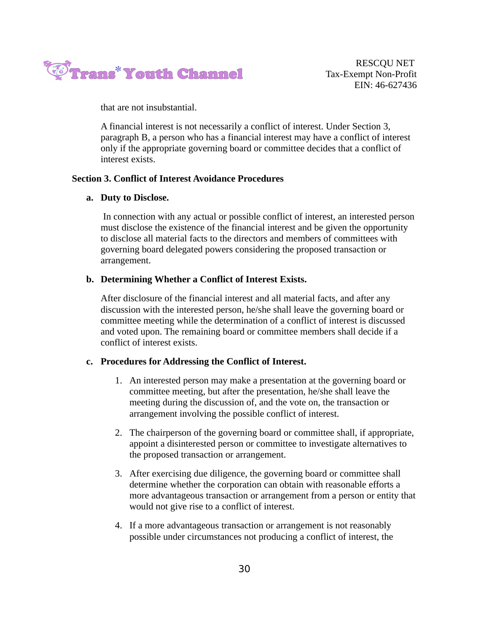

that are not insubstantial.

A financial interest is not necessarily a conflict of interest. Under Section 3, paragraph B, a person who has a financial interest may have a conflict of interest only if the appropriate governing board or committee decides that a conflict of interest exists.

### **Section 3. Conflict of Interest Avoidance Procedures**

#### **a. Duty to Disclose.**

 In connection with any actual or possible conflict of interest, an interested person must disclose the existence of the financial interest and be given the opportunity to disclose all material facts to the directors and members of committees with governing board delegated powers considering the proposed transaction or arrangement.

### **b. Determining Whether a Conflict of Interest Exists.**

After disclosure of the financial interest and all material facts, and after any discussion with the interested person, he/she shall leave the governing board or committee meeting while the determination of a conflict of interest is discussed and voted upon. The remaining board or committee members shall decide if a conflict of interest exists.

#### **c. Procedures for Addressing the Conflict of Interest.**

- 1. An interested person may make a presentation at the governing board or committee meeting, but after the presentation, he/she shall leave the meeting during the discussion of, and the vote on, the transaction or arrangement involving the possible conflict of interest.
- 2. The chairperson of the governing board or committee shall, if appropriate, appoint a disinterested person or committee to investigate alternatives to the proposed transaction or arrangement.
- 3. After exercising due diligence, the governing board or committee shall determine whether the corporation can obtain with reasonable efforts a more advantageous transaction or arrangement from a person or entity that would not give rise to a conflict of interest.
- 4. If a more advantageous transaction or arrangement is not reasonably possible under circumstances not producing a conflict of interest, the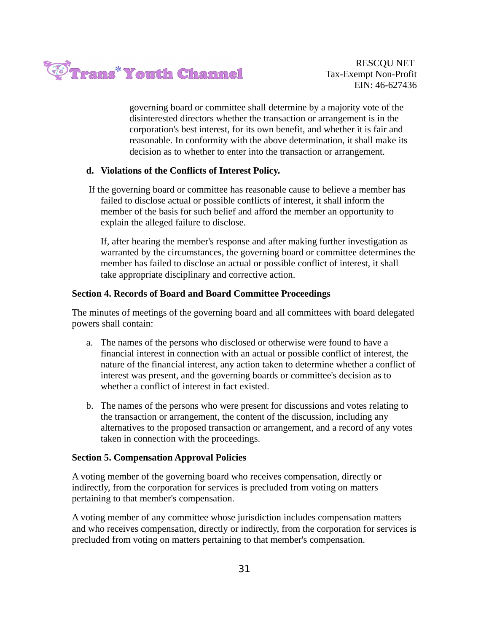

governing board or committee shall determine by a majority vote of the disinterested directors whether the transaction or arrangement is in the corporation's best interest, for its own benefit, and whether it is fair and reasonable. In conformity with the above determination, it shall make its decision as to whether to enter into the transaction or arrangement.

# **d. Violations of the Conflicts of Interest Policy.**

If the governing board or committee has reasonable cause to believe a member has failed to disclose actual or possible conflicts of interest, it shall inform the member of the basis for such belief and afford the member an opportunity to explain the alleged failure to disclose.

If, after hearing the member's response and after making further investigation as warranted by the circumstances, the governing board or committee determines the member has failed to disclose an actual or possible conflict of interest, it shall take appropriate disciplinary and corrective action.

# **Section 4. Records of Board and Board Committee Proceedings**

The minutes of meetings of the governing board and all committees with board delegated powers shall contain:

- a. The names of the persons who disclosed or otherwise were found to have a financial interest in connection with an actual or possible conflict of interest, the nature of the financial interest, any action taken to determine whether a conflict of interest was present, and the governing boards or committee's decision as to whether a conflict of interest in fact existed.
- b. The names of the persons who were present for discussions and votes relating to the transaction or arrangement, the content of the discussion, including any alternatives to the proposed transaction or arrangement, and a record of any votes taken in connection with the proceedings.

# **Section 5. Compensation Approval Policies**

A voting member of the governing board who receives compensation, directly or indirectly, from the corporation for services is precluded from voting on matters pertaining to that member's compensation.

A voting member of any committee whose jurisdiction includes compensation matters and who receives compensation, directly or indirectly, from the corporation for services is precluded from voting on matters pertaining to that member's compensation.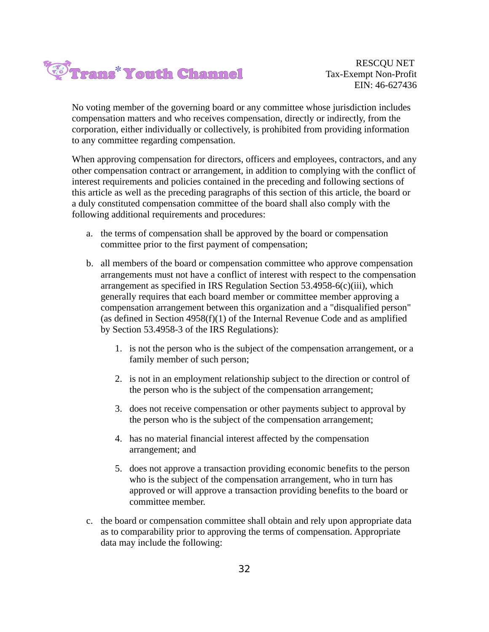

No voting member of the governing board or any committee whose jurisdiction includes compensation matters and who receives compensation, directly or indirectly, from the corporation, either individually or collectively, is prohibited from providing information to any committee regarding compensation.

When approving compensation for directors, officers and employees, contractors, and any other compensation contract or arrangement, in addition to complying with the conflict of interest requirements and policies contained in the preceding and following sections of this article as well as the preceding paragraphs of this section of this article, the board or a duly constituted compensation committee of the board shall also comply with the following additional requirements and procedures:

- a. the terms of compensation shall be approved by the board or compensation committee prior to the first payment of compensation;
- b. all members of the board or compensation committee who approve compensation arrangements must not have a conflict of interest with respect to the compensation arrangement as specified in IRS Regulation Section 53.4958-6(c)(iii), which generally requires that each board member or committee member approving a compensation arrangement between this organization and a "disqualified person" (as defined in Section  $4958(f)(1)$  of the Internal Revenue Code and as amplified by Section 53.4958-3 of the IRS Regulations):
	- 1. is not the person who is the subject of the compensation arrangement, or a family member of such person;
	- 2. is not in an employment relationship subject to the direction or control of the person who is the subject of the compensation arrangement;
	- 3. does not receive compensation or other payments subject to approval by the person who is the subject of the compensation arrangement;
	- 4. has no material financial interest affected by the compensation arrangement; and
	- 5. does not approve a transaction providing economic benefits to the person who is the subject of the compensation arrangement, who in turn has approved or will approve a transaction providing benefits to the board or committee member.
- c. the board or compensation committee shall obtain and rely upon appropriate data as to comparability prior to approving the terms of compensation. Appropriate data may include the following: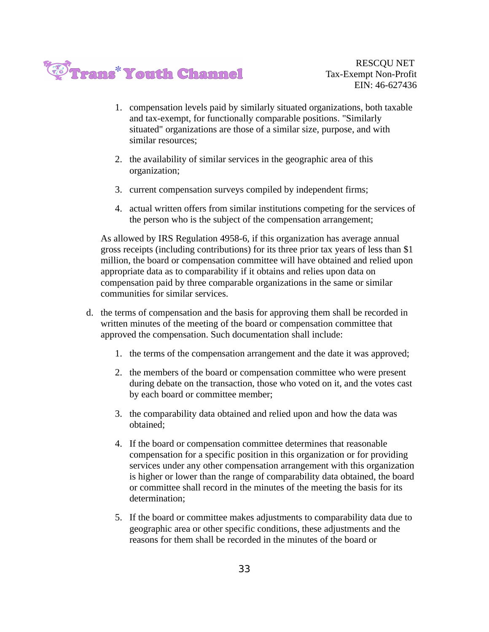

- 1. compensation levels paid by similarly situated organizations, both taxable and tax-exempt, for functionally comparable positions. "Similarly situated" organizations are those of a similar size, purpose, and with similar resources;
- 2. the availability of similar services in the geographic area of this organization;
- 3. current compensation surveys compiled by independent firms;
- 4. actual written offers from similar institutions competing for the services of the person who is the subject of the compensation arrangement;

As allowed by IRS Regulation 4958-6, if this organization has average annual gross receipts (including contributions) for its three prior tax years of less than \$1 million, the board or compensation committee will have obtained and relied upon appropriate data as to comparability if it obtains and relies upon data on compensation paid by three comparable organizations in the same or similar communities for similar services.

- d. the terms of compensation and the basis for approving them shall be recorded in written minutes of the meeting of the board or compensation committee that approved the compensation. Such documentation shall include:
	- 1. the terms of the compensation arrangement and the date it was approved;
	- 2. the members of the board or compensation committee who were present during debate on the transaction, those who voted on it, and the votes cast by each board or committee member;
	- 3. the comparability data obtained and relied upon and how the data was obtained;
	- 4. If the board or compensation committee determines that reasonable compensation for a specific position in this organization or for providing services under any other compensation arrangement with this organization is higher or lower than the range of comparability data obtained, the board or committee shall record in the minutes of the meeting the basis for its determination;
	- 5. If the board or committee makes adjustments to comparability data due to geographic area or other specific conditions, these adjustments and the reasons for them shall be recorded in the minutes of the board or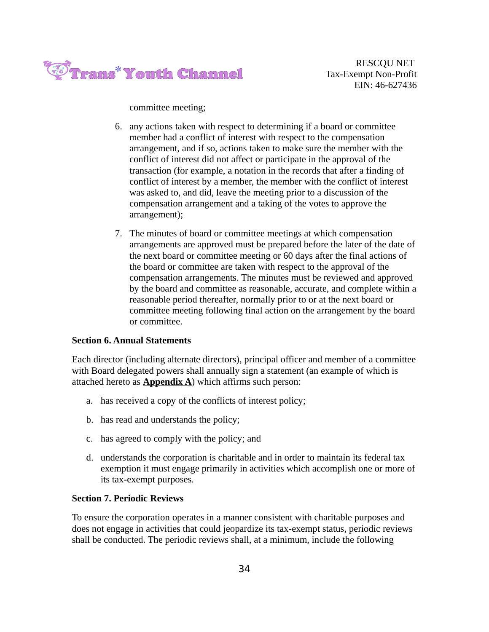

committee meeting;

- 6. any actions taken with respect to determining if a board or committee member had a conflict of interest with respect to the compensation arrangement, and if so, actions taken to make sure the member with the conflict of interest did not affect or participate in the approval of the transaction (for example, a notation in the records that after a finding of conflict of interest by a member, the member with the conflict of interest was asked to, and did, leave the meeting prior to a discussion of the compensation arrangement and a taking of the votes to approve the arrangement);
- 7. The minutes of board or committee meetings at which compensation arrangements are approved must be prepared before the later of the date of the next board or committee meeting or 60 days after the final actions of the board or committee are taken with respect to the approval of the compensation arrangements. The minutes must be reviewed and approved by the board and committee as reasonable, accurate, and complete within a reasonable period thereafter, normally prior to or at the next board or committee meeting following final action on the arrangement by the board or committee.

# **Section 6. Annual Statements**

Each director (including alternate directors), principal officer and member of a committee with Board delegated powers shall annually sign a statement (an example of which is attached hereto as **Appendix A**) which affirms such person:

- a. has received a copy of the conflicts of interest policy;
- b. has read and understands the policy;
- c. has agreed to comply with the policy; and
- d. understands the corporation is charitable and in order to maintain its federal tax exemption it must engage primarily in activities which accomplish one or more of its tax-exempt purposes.

#### **Section 7. Periodic Reviews**

To ensure the corporation operates in a manner consistent with charitable purposes and does not engage in activities that could jeopardize its tax-exempt status, periodic reviews shall be conducted. The periodic reviews shall, at a minimum, include the following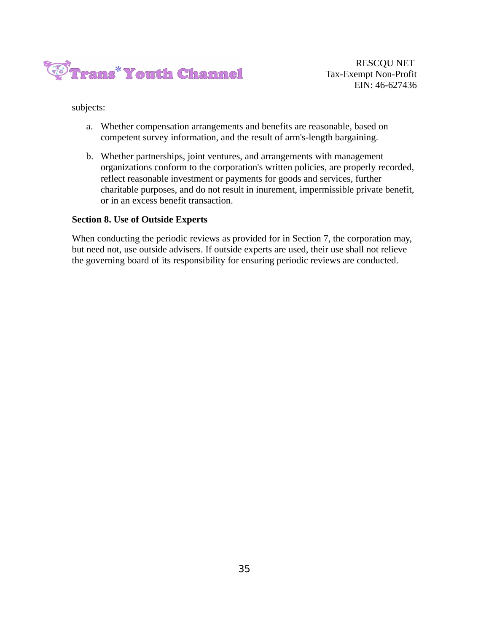

subjects:

- a. Whether compensation arrangements and benefits are reasonable, based on competent survey information, and the result of arm's-length bargaining.
- b. Whether partnerships, joint ventures, and arrangements with management organizations conform to the corporation's written policies, are properly recorded, reflect reasonable investment or payments for goods and services, further charitable purposes, and do not result in inurement, impermissible private benefit, or in an excess benefit transaction.

# **Section 8. Use of Outside Experts**

When conducting the periodic reviews as provided for in Section 7, the corporation may, but need not, use outside advisers. If outside experts are used, their use shall not relieve the governing board of its responsibility for ensuring periodic reviews are conducted.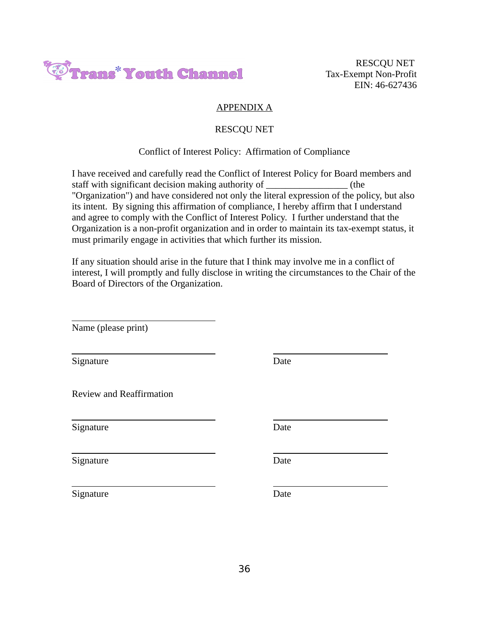

# APPENDIX A

## RESCQU NET

# Conflict of Interest Policy: Affirmation of Compliance

I have received and carefully read the Conflict of Interest Policy for Board members and staff with significant decision making authority of \_\_\_\_\_\_\_\_\_\_\_\_\_\_\_\_\_\_\_\_\_\_ (the "Organization") and have considered not only the literal expression of the policy, but also its intent. By signing this affirmation of compliance, I hereby affirm that I understand and agree to comply with the Conflict of Interest Policy. I further understand that the Organization is a non-profit organization and in order to maintain its tax-exempt status, it must primarily engage in activities that which further its mission.

If any situation should arise in the future that I think may involve me in a conflict of interest, I will promptly and fully disclose in writing the circumstances to the Chair of the Board of Directors of the Organization.

Name (please print)

Signature Date

 $\overline{a}$ 

 $\overline{a}$ 

 $\overline{a}$ 

 $\overline{a}$ 

 $\overline{a}$ 

Review and Reaffirmation

Signature Date

Signature Date

Signature Date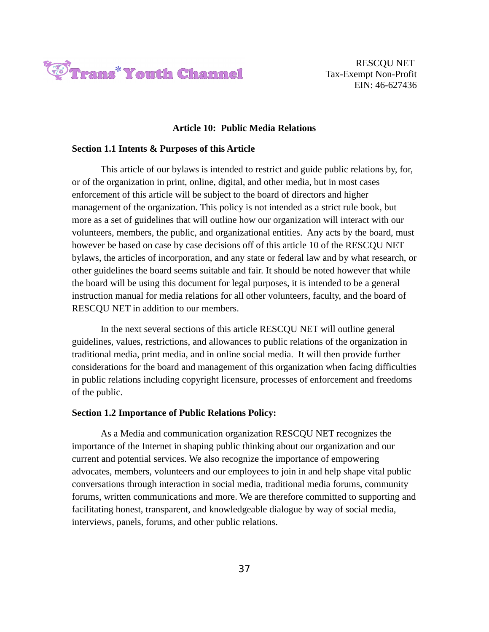

#### **Article 10: Public Media Relations**

#### **Section 1.1 Intents & Purposes of this Article**

This article of our bylaws is intended to restrict and guide public relations by, for, or of the organization in print, online, digital, and other media, but in most cases enforcement of this article will be subject to the board of directors and higher management of the organization. This policy is not intended as a strict rule book, but more as a set of guidelines that will outline how our organization will interact with our volunteers, members, the public, and organizational entities. Any acts by the board, must however be based on case by case decisions off of this article 10 of the RESCQU NET bylaws, the articles of incorporation, and any state or federal law and by what research, or other guidelines the board seems suitable and fair. It should be noted however that while the board will be using this document for legal purposes, it is intended to be a general instruction manual for media relations for all other volunteers, faculty, and the board of RESCQU NET in addition to our members.

In the next several sections of this article RESCQU NET will outline general guidelines, values, restrictions, and allowances to public relations of the organization in traditional media, print media, and in online social media. It will then provide further considerations for the board and management of this organization when facing difficulties in public relations including copyright licensure, processes of enforcement and freedoms of the public.

#### **Section 1.2 Importance of Public Relations Policy:**

As a Media and communication organization RESCQU NET recognizes the importance of the Internet in shaping public thinking about our organization and our current and potential services. We also recognize the importance of empowering advocates, members, volunteers and our employees to join in and help shape vital public conversations through interaction in social media, traditional media forums, community forums, written communications and more. We are therefore committed to supporting and facilitating honest, transparent, and knowledgeable dialogue by way of social media, interviews, panels, forums, and other public relations.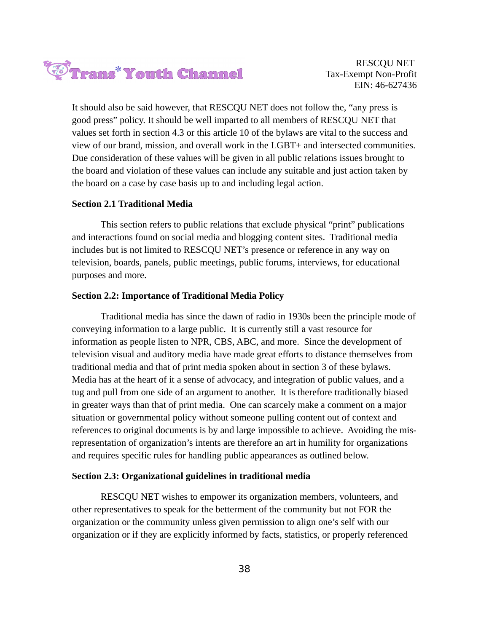

It should also be said however, that RESCQU NET does not follow the, "any press is good press" policy. It should be well imparted to all members of RESCQU NET that values set forth in section 4.3 or this article 10 of the bylaws are vital to the success and view of our brand, mission, and overall work in the LGBT+ and intersected communities. Due consideration of these values will be given in all public relations issues brought to the board and violation of these values can include any suitable and just action taken by the board on a case by case basis up to and including legal action.

#### **Section 2.1 Traditional Media**

This section refers to public relations that exclude physical "print" publications and interactions found on social media and blogging content sites. Traditional media includes but is not limited to RESCQU NET's presence or reference in any way on television, boards, panels, public meetings, public forums, interviews, for educational purposes and more.

#### **Section 2.2: Importance of Traditional Media Policy**

Traditional media has since the dawn of radio in 1930s been the principle mode of conveying information to a large public. It is currently still a vast resource for information as people listen to NPR, CBS, ABC, and more. Since the development of television visual and auditory media have made great efforts to distance themselves from traditional media and that of print media spoken about in section 3 of these bylaws. Media has at the heart of it a sense of advocacy, and integration of public values, and a tug and pull from one side of an argument to another. It is therefore traditionally biased in greater ways than that of print media. One can scarcely make a comment on a major situation or governmental policy without someone pulling content out of context and references to original documents is by and large impossible to achieve. Avoiding the misrepresentation of organization's intents are therefore an art in humility for organizations and requires specific rules for handling public appearances as outlined below.

#### **Section 2.3: Organizational guidelines in traditional media**

RESCQU NET wishes to empower its organization members, volunteers, and other representatives to speak for the betterment of the community but not FOR the organization or the community unless given permission to align one's self with our organization or if they are explicitly informed by facts, statistics, or properly referenced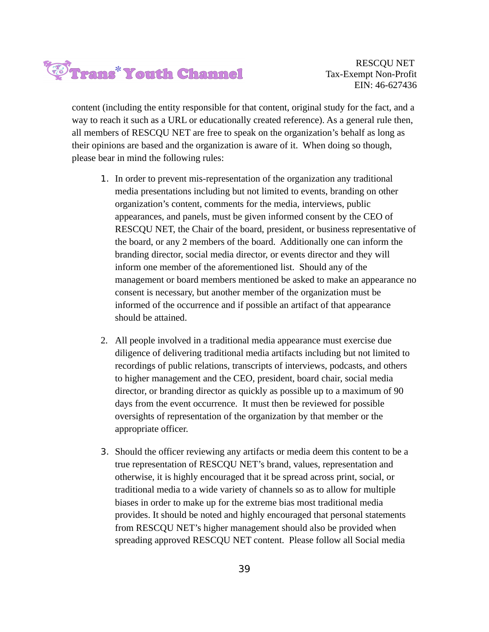

content (including the entity responsible for that content, original study for the fact, and a way to reach it such as a URL or educationally created reference). As a general rule then, all members of RESCQU NET are free to speak on the organization's behalf as long as their opinions are based and the organization is aware of it. When doing so though, please bear in mind the following rules:

- 1. In order to prevent mis-representation of the organization any traditional media presentations including but not limited to events, branding on other organization's content, comments for the media, interviews, public appearances, and panels, must be given informed consent by the CEO of RESCQU NET, the Chair of the board, president, or business representative of the board, or any 2 members of the board. Additionally one can inform the branding director, social media director, or events director and they will inform one member of the aforementioned list. Should any of the management or board members mentioned be asked to make an appearance no consent is necessary, but another member of the organization must be informed of the occurrence and if possible an artifact of that appearance should be attained.
- 2. All people involved in a traditional media appearance must exercise due diligence of delivering traditional media artifacts including but not limited to recordings of public relations, transcripts of interviews, podcasts, and others to higher management and the CEO, president, board chair, social media director, or branding director as quickly as possible up to a maximum of 90 days from the event occurrence. It must then be reviewed for possible oversights of representation of the organization by that member or the appropriate officer.
- 3. Should the officer reviewing any artifacts or media deem this content to be a true representation of RESCQU NET's brand, values, representation and otherwise, it is highly encouraged that it be spread across print, social, or traditional media to a wide variety of channels so as to allow for multiple biases in order to make up for the extreme bias most traditional media provides. It should be noted and highly encouraged that personal statements from RESCQU NET's higher management should also be provided when spreading approved RESCQU NET content. Please follow all Social media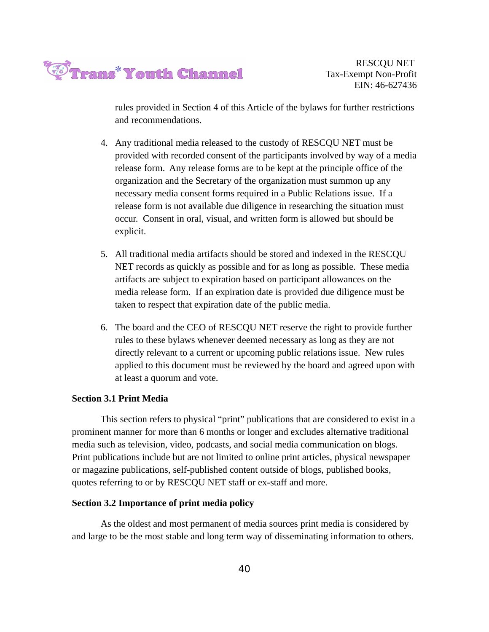

rules provided in Section 4 of this Article of the bylaws for further restrictions and recommendations.

- 4. Any traditional media released to the custody of RESCQU NET must be provided with recorded consent of the participants involved by way of a media release form. Any release forms are to be kept at the principle office of the organization and the Secretary of the organization must summon up any necessary media consent forms required in a Public Relations issue. If a release form is not available due diligence in researching the situation must occur. Consent in oral, visual, and written form is allowed but should be explicit.
- 5. All traditional media artifacts should be stored and indexed in the RESCQU NET records as quickly as possible and for as long as possible. These media artifacts are subject to expiration based on participant allowances on the media release form. If an expiration date is provided due diligence must be taken to respect that expiration date of the public media.
- 6. The board and the CEO of RESCQU NET reserve the right to provide further rules to these bylaws whenever deemed necessary as long as they are not directly relevant to a current or upcoming public relations issue. New rules applied to this document must be reviewed by the board and agreed upon with at least a quorum and vote.

## **Section 3.1 Print Media**

This section refers to physical "print" publications that are considered to exist in a prominent manner for more than 6 months or longer and excludes alternative traditional media such as television, video, podcasts, and social media communication on blogs. Print publications include but are not limited to online print articles, physical newspaper or magazine publications, self-published content outside of blogs, published books, quotes referring to or by RESCQU NET staff or ex-staff and more.

#### **Section 3.2 Importance of print media policy**

As the oldest and most permanent of media sources print media is considered by and large to be the most stable and long term way of disseminating information to others.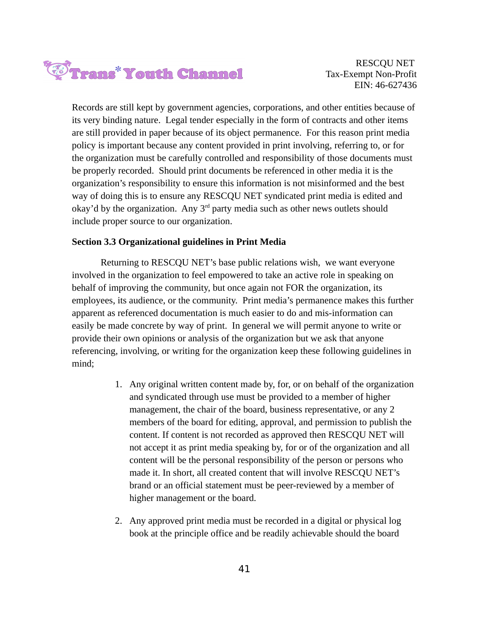

Records are still kept by government agencies, corporations, and other entities because of its very binding nature. Legal tender especially in the form of contracts and other items are still provided in paper because of its object permanence. For this reason print media policy is important because any content provided in print involving, referring to, or for the organization must be carefully controlled and responsibility of those documents must be properly recorded. Should print documents be referenced in other media it is the organization's responsibility to ensure this information is not misinformed and the best way of doing this is to ensure any RESCQU NET syndicated print media is edited and okay'd by the organization. Any  $3<sup>rd</sup>$  party media such as other news outlets should include proper source to our organization.

### **Section 3.3 Organizational guidelines in Print Media**

Returning to RESCQU NET's base public relations wish, we want everyone involved in the organization to feel empowered to take an active role in speaking on behalf of improving the community, but once again not FOR the organization, its employees, its audience, or the community. Print media's permanence makes this further apparent as referenced documentation is much easier to do and mis-information can easily be made concrete by way of print. In general we will permit anyone to write or provide their own opinions or analysis of the organization but we ask that anyone referencing, involving, or writing for the organization keep these following guidelines in mind;

- 1. Any original written content made by, for, or on behalf of the organization and syndicated through use must be provided to a member of higher management, the chair of the board, business representative, or any 2 members of the board for editing, approval, and permission to publish the content. If content is not recorded as approved then RESCQU NET will not accept it as print media speaking by, for or of the organization and all content will be the personal responsibility of the person or persons who made it. In short, all created content that will involve RESCQU NET's brand or an official statement must be peer-reviewed by a member of higher management or the board.
- 2. Any approved print media must be recorded in a digital or physical log book at the principle office and be readily achievable should the board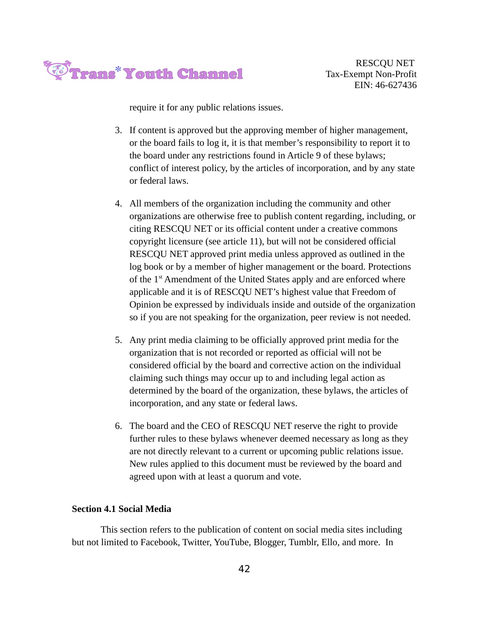

require it for any public relations issues.

- 3. If content is approved but the approving member of higher management, or the board fails to log it, it is that member's responsibility to report it to the board under any restrictions found in Article 9 of these bylaws; conflict of interest policy, by the articles of incorporation, and by any state or federal laws.
- 4. All members of the organization including the community and other organizations are otherwise free to publish content regarding, including, or citing RESCQU NET or its official content under a creative commons copyright licensure (see article 11), but will not be considered official RESCQU NET approved print media unless approved as outlined in the log book or by a member of higher management or the board. Protections of the 1<sup>st</sup> Amendment of the United States apply and are enforced where applicable and it is of RESCQU NET's highest value that Freedom of Opinion be expressed by individuals inside and outside of the organization so if you are not speaking for the organization, peer review is not needed.
- 5. Any print media claiming to be officially approved print media for the organization that is not recorded or reported as official will not be considered official by the board and corrective action on the individual claiming such things may occur up to and including legal action as determined by the board of the organization, these bylaws, the articles of incorporation, and any state or federal laws.
- 6. The board and the CEO of RESCQU NET reserve the right to provide further rules to these bylaws whenever deemed necessary as long as they are not directly relevant to a current or upcoming public relations issue. New rules applied to this document must be reviewed by the board and agreed upon with at least a quorum and vote.

## **Section 4.1 Social Media**

This section refers to the publication of content on social media sites including but not limited to Facebook, Twitter, YouTube, Blogger, Tumblr, Ello, and more. In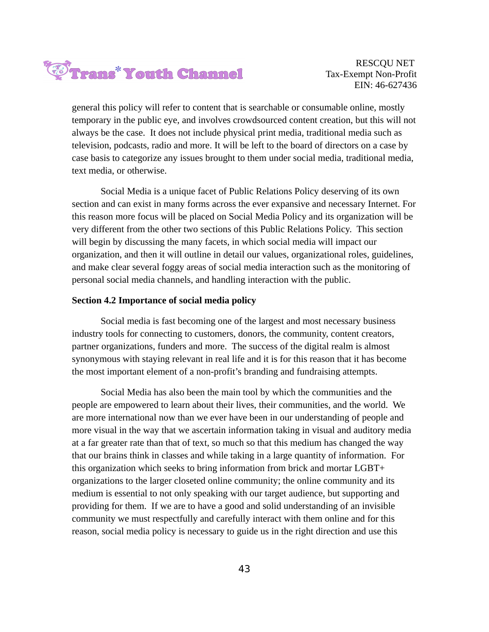

general this policy will refer to content that is searchable or consumable online, mostly temporary in the public eye, and involves crowdsourced content creation, but this will not always be the case. It does not include physical print media, traditional media such as television, podcasts, radio and more. It will be left to the board of directors on a case by case basis to categorize any issues brought to them under social media, traditional media, text media, or otherwise.

Social Media is a unique facet of Public Relations Policy deserving of its own section and can exist in many forms across the ever expansive and necessary Internet. For this reason more focus will be placed on Social Media Policy and its organization will be very different from the other two sections of this Public Relations Policy. This section will begin by discussing the many facets, in which social media will impact our organization, and then it will outline in detail our values, organizational roles, guidelines, and make clear several foggy areas of social media interaction such as the monitoring of personal social media channels, and handling interaction with the public.

#### **Section 4.2 Importance of social media policy**

Social media is fast becoming one of the largest and most necessary business industry tools for connecting to customers, donors, the community, content creators, partner organizations, funders and more. The success of the digital realm is almost synonymous with staying relevant in real life and it is for this reason that it has become the most important element of a non-profit's branding and fundraising attempts.

Social Media has also been the main tool by which the communities and the people are empowered to learn about their lives, their communities, and the world. We are more international now than we ever have been in our understanding of people and more visual in the way that we ascertain information taking in visual and auditory media at a far greater rate than that of text, so much so that this medium has changed the way that our brains think in classes and while taking in a large quantity of information. For this organization which seeks to bring information from brick and mortar LGBT+ organizations to the larger closeted online community; the online community and its medium is essential to not only speaking with our target audience, but supporting and providing for them. If we are to have a good and solid understanding of an invisible community we must respectfully and carefully interact with them online and for this reason, social media policy is necessary to guide us in the right direction and use this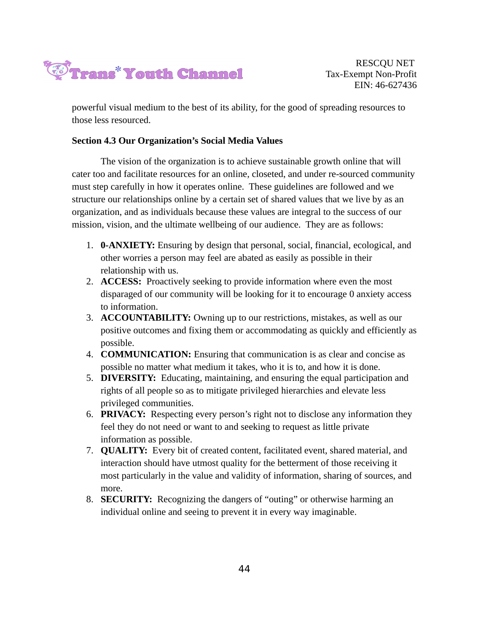

powerful visual medium to the best of its ability, for the good of spreading resources to those less resourced.

# **Section 4.3 Our Organization's Social Media Values**

The vision of the organization is to achieve sustainable growth online that will cater too and facilitate resources for an online, closeted, and under re-sourced community must step carefully in how it operates online. These guidelines are followed and we structure our relationships online by a certain set of shared values that we live by as an organization, and as individuals because these values are integral to the success of our mission, vision, and the ultimate wellbeing of our audience. They are as follows:

- 1. **0-ANXIETY:** Ensuring by design that personal, social, financial, ecological, and other worries a person may feel are abated as easily as possible in their relationship with us.
- 2. **ACCESS:** Proactively seeking to provide information where even the most disparaged of our community will be looking for it to encourage 0 anxiety access to information.
- 3. **ACCOUNTABILITY:** Owning up to our restrictions, mistakes, as well as our positive outcomes and fixing them or accommodating as quickly and efficiently as possible.
- 4. **COMMUNICATION:** Ensuring that communication is as clear and concise as possible no matter what medium it takes, who it is to, and how it is done.
- 5. **DIVERSITY:** Educating, maintaining, and ensuring the equal participation and rights of all people so as to mitigate privileged hierarchies and elevate less privileged communities.
- 6. **PRIVACY:** Respecting every person's right not to disclose any information they feel they do not need or want to and seeking to request as little private information as possible.
- 7. **QUALITY:** Every bit of created content, facilitated event, shared material, and interaction should have utmost quality for the betterment of those receiving it most particularly in the value and validity of information, sharing of sources, and more.
- 8. **SECURITY:** Recognizing the dangers of "outing" or otherwise harming an individual online and seeing to prevent it in every way imaginable.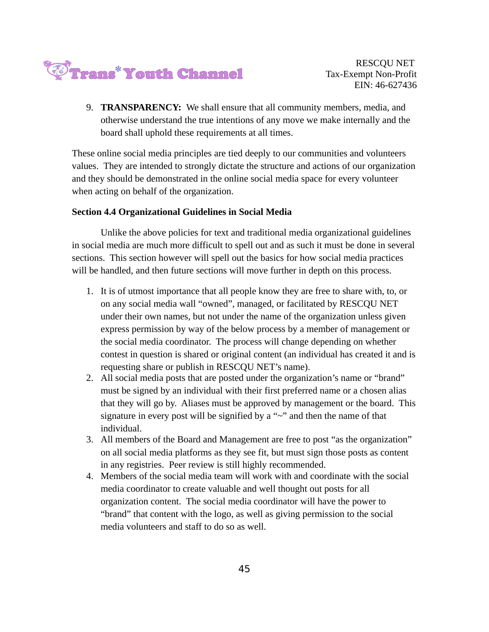

9. **TRANSPARENCY:** We shall ensure that all community members, media, and otherwise understand the true intentions of any move we make internally and the board shall uphold these requirements at all times.

These online social media principles are tied deeply to our communities and volunteers values. They are intended to strongly dictate the structure and actions of our organization and they should be demonstrated in the online social media space for every volunteer when acting on behalf of the organization.

## **Section 4.4 Organizational Guidelines in Social Media**

Unlike the above policies for text and traditional media organizational guidelines in social media are much more difficult to spell out and as such it must be done in several sections. This section however will spell out the basics for how social media practices will be handled, and then future sections will move further in depth on this process.

- 1. It is of utmost importance that all people know they are free to share with, to, or on any social media wall "owned", managed, or facilitated by RESCQU NET under their own names, but not under the name of the organization unless given express permission by way of the below process by a member of management or the social media coordinator. The process will change depending on whether contest in question is shared or original content (an individual has created it and is requesting share or publish in RESCQU NET's name).
- 2. All social media posts that are posted under the organization's name or "brand" must be signed by an individual with their first preferred name or a chosen alias that they will go by. Aliases must be approved by management or the board. This signature in every post will be signified by a " $\sim$ " and then the name of that individual.
- 3. All members of the Board and Management are free to post "as the organization" on all social media platforms as they see fit, but must sign those posts as content in any registries. Peer review is still highly recommended.
- 4. Members of the social media team will work with and coordinate with the social media coordinator to create valuable and well thought out posts for all organization content. The social media coordinator will have the power to "brand" that content with the logo, as well as giving permission to the social media volunteers and staff to do so as well.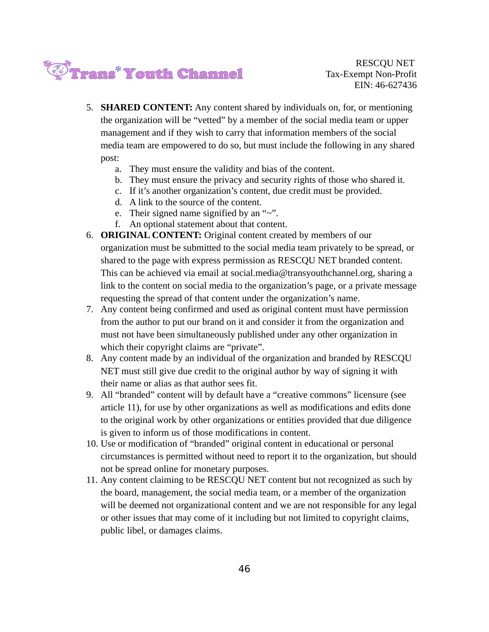

- 5. **SHARED CONTENT:** Any content shared by individuals on, for, or mentioning the organization will be "vetted" by a member of the social media team or upper management and if they wish to carry that information members of the social media team are empowered to do so, but must include the following in any shared post:
	- a. They must ensure the validity and bias of the content.
	- b. They must ensure the privacy and security rights of those who shared it.
	- c. If it's another organization's content, due credit must be provided.
	- d. A link to the source of the content.
	- e. Their signed name signified by an " $\sim$ ".
	- f. An optional statement about that content.
- 6. **ORIGINAL CONTENT:** Original content created by members of our organization must be submitted to the social media team privately to be spread, or shared to the page with express permission as RESCQU NET branded content. This can be achieved via email at social.media@transyouthchannel.org, sharing a link to the content on social media to the organization's page, or a private message requesting the spread of that content under the organization's name.
- 7. Any content being confirmed and used as original content must have permission from the author to put our brand on it and consider it from the organization and must not have been simultaneously published under any other organization in which their copyright claims are "private".
- 8. Any content made by an individual of the organization and branded by RESCQU NET must still give due credit to the original author by way of signing it with their name or alias as that author sees fit.
- 9. All "branded" content will by default have a "creative commons" licensure (see article 11), for use by other organizations as well as modifications and edits done to the original work by other organizations or entities provided that due diligence is given to inform us of those modifications in content.
- 10. Use or modification of "branded" original content in educational or personal circumstances is permitted without need to report it to the organization, but should not be spread online for monetary purposes.
- 11. Any content claiming to be RESCQU NET content but not recognized as such by the board, management, the social media team, or a member of the organization will be deemed not organizational content and we are not responsible for any legal or other issues that may come of it including but not limited to copyright claims, public libel, or damages claims.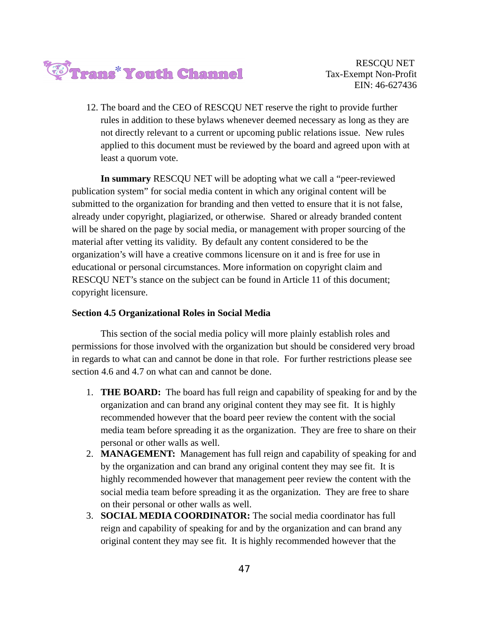

12. The board and the CEO of RESCQU NET reserve the right to provide further rules in addition to these bylaws whenever deemed necessary as long as they are not directly relevant to a current or upcoming public relations issue. New rules applied to this document must be reviewed by the board and agreed upon with at least a quorum vote.

**In summary** RESCQU NET will be adopting what we call a "peer-reviewed publication system" for social media content in which any original content will be submitted to the organization for branding and then vetted to ensure that it is not false, already under copyright, plagiarized, or otherwise. Shared or already branded content will be shared on the page by social media, or management with proper sourcing of the material after vetting its validity. By default any content considered to be the organization's will have a creative commons licensure on it and is free for use in educational or personal circumstances. More information on copyright claim and RESCQU NET's stance on the subject can be found in Article 11 of this document; copyright licensure.

### **Section 4.5 Organizational Roles in Social Media**

This section of the social media policy will more plainly establish roles and permissions for those involved with the organization but should be considered very broad in regards to what can and cannot be done in that role. For further restrictions please see section 4.6 and 4.7 on what can and cannot be done.

- 1. **THE BOARD:** The board has full reign and capability of speaking for and by the organization and can brand any original content they may see fit. It is highly recommended however that the board peer review the content with the social media team before spreading it as the organization. They are free to share on their personal or other walls as well.
- 2. **MANAGEMENT:** Management has full reign and capability of speaking for and by the organization and can brand any original content they may see fit. It is highly recommended however that management peer review the content with the social media team before spreading it as the organization. They are free to share on their personal or other walls as well.
- 3. **SOCIAL MEDIA COORDINATOR:** The social media coordinator has full reign and capability of speaking for and by the organization and can brand any original content they may see fit. It is highly recommended however that the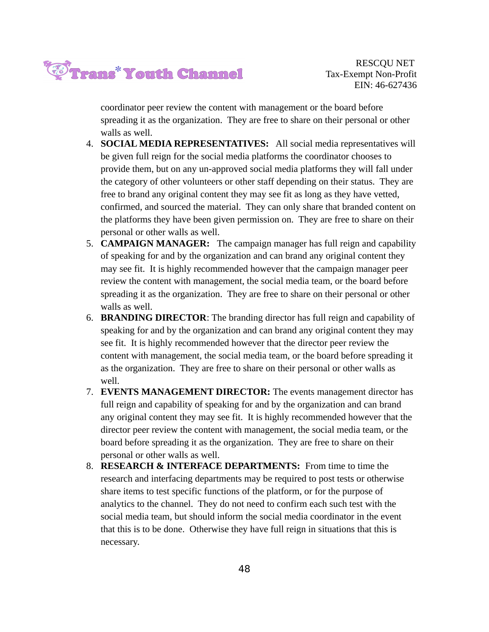

coordinator peer review the content with management or the board before spreading it as the organization. They are free to share on their personal or other walls as well.

- 4. **SOCIAL MEDIA REPRESENTATIVES:** All social media representatives will be given full reign for the social media platforms the coordinator chooses to provide them, but on any un-approved social media platforms they will fall under the category of other volunteers or other staff depending on their status. They are free to brand any original content they may see fit as long as they have vetted, confirmed, and sourced the material. They can only share that branded content on the platforms they have been given permission on. They are free to share on their personal or other walls as well.
- 5. **CAMPAIGN MANAGER:** The campaign manager has full reign and capability of speaking for and by the organization and can brand any original content they may see fit. It is highly recommended however that the campaign manager peer review the content with management, the social media team, or the board before spreading it as the organization. They are free to share on their personal or other walls as well.
- 6. **BRANDING DIRECTOR**: The branding director has full reign and capability of speaking for and by the organization and can brand any original content they may see fit. It is highly recommended however that the director peer review the content with management, the social media team, or the board before spreading it as the organization. They are free to share on their personal or other walls as well.
- 7. **EVENTS MANAGEMENT DIRECTOR:** The events management director has full reign and capability of speaking for and by the organization and can brand any original content they may see fit. It is highly recommended however that the director peer review the content with management, the social media team, or the board before spreading it as the organization. They are free to share on their personal or other walls as well.
- 8. **RESEARCH & INTERFACE DEPARTMENTS:** From time to time the research and interfacing departments may be required to post tests or otherwise share items to test specific functions of the platform, or for the purpose of analytics to the channel. They do not need to confirm each such test with the social media team, but should inform the social media coordinator in the event that this is to be done. Otherwise they have full reign in situations that this is necessary.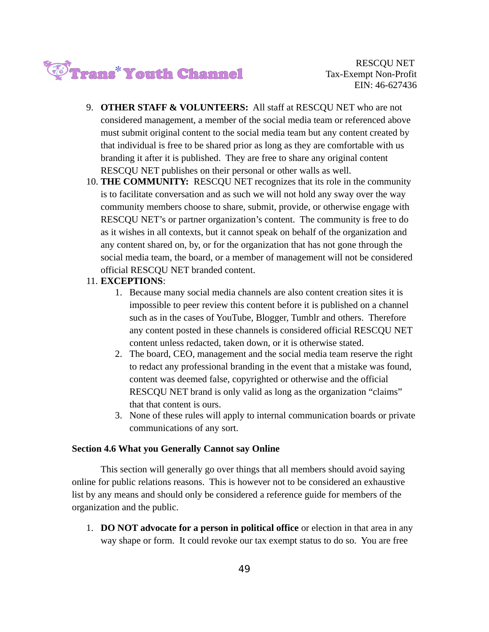

- 9. **OTHER STAFF & VOLUNTEERS:** All staff at RESCQU NET who are not considered management, a member of the social media team or referenced above must submit original content to the social media team but any content created by that individual is free to be shared prior as long as they are comfortable with us branding it after it is published. They are free to share any original content RESCQU NET publishes on their personal or other walls as well.
- 10. **THE COMMUNITY:** RESCQU NET recognizes that its role in the community is to facilitate conversation and as such we will not hold any sway over the way community members choose to share, submit, provide, or otherwise engage with RESCQU NET's or partner organization's content. The community is free to do as it wishes in all contexts, but it cannot speak on behalf of the organization and any content shared on, by, or for the organization that has not gone through the social media team, the board, or a member of management will not be considered official RESCQU NET branded content.

## 11. **EXCEPTIONS**:

- 1. Because many social media channels are also content creation sites it is impossible to peer review this content before it is published on a channel such as in the cases of YouTube, Blogger, Tumblr and others. Therefore any content posted in these channels is considered official RESCQU NET content unless redacted, taken down, or it is otherwise stated.
- 2. The board, CEO, management and the social media team reserve the right to redact any professional branding in the event that a mistake was found, content was deemed false, copyrighted or otherwise and the official RESCQU NET brand is only valid as long as the organization "claims" that that content is ours.
- 3. None of these rules will apply to internal communication boards or private communications of any sort.

## **Section 4.6 What you Generally Cannot say Online**

This section will generally go over things that all members should avoid saying online for public relations reasons. This is however not to be considered an exhaustive list by any means and should only be considered a reference guide for members of the organization and the public.

1. **DO NOT advocate for a person in political office** or election in that area in any way shape or form. It could revoke our tax exempt status to do so. You are free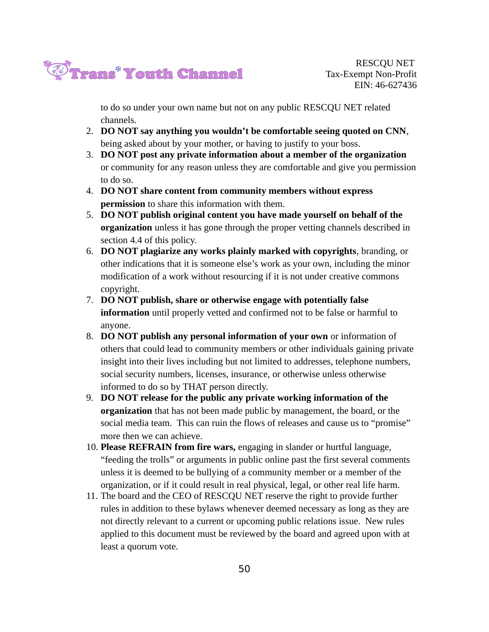

to do so under your own name but not on any public RESCQU NET related channels.

- 2. **DO NOT say anything you wouldn't be comfortable seeing quoted on CNN**, being asked about by your mother, or having to justify to your boss.
- 3. **DO NOT post any private information about a member of the organization** or community for any reason unless they are comfortable and give you permission to do so.
- 4. **DO NOT share content from community members without express permission** to share this information with them.
- 5. **DO NOT publish original content you have made yourself on behalf of the organization** unless it has gone through the proper vetting channels described in section 4.4 of this policy.
- 6. **DO NOT plagiarize any works plainly marked with copyrights**, branding, or other indications that it is someone else's work as your own, including the minor modification of a work without resourcing if it is not under creative commons copyright.
- 7. **DO NOT publish, share or otherwise engage with potentially false information** until properly vetted and confirmed not to be false or harmful to anyone.
- 8. **DO NOT publish any personal information of your own** or information of others that could lead to community members or other individuals gaining private insight into their lives including but not limited to addresses, telephone numbers, social security numbers, licenses, insurance, or otherwise unless otherwise informed to do so by THAT person directly.
- 9. **DO NOT release for the public any private working information of the organization** that has not been made public by management, the board, or the social media team. This can ruin the flows of releases and cause us to "promise" more then we can achieve.
- 10. **Please REFRAIN from fire wars,** engaging in slander or hurtful language, "feeding the trolls" or arguments in public online past the first several comments unless it is deemed to be bullying of a community member or a member of the organization, or if it could result in real physical, legal, or other real life harm.
- 11. The board and the CEO of RESCQU NET reserve the right to provide further rules in addition to these bylaws whenever deemed necessary as long as they are not directly relevant to a current or upcoming public relations issue. New rules applied to this document must be reviewed by the board and agreed upon with at least a quorum vote.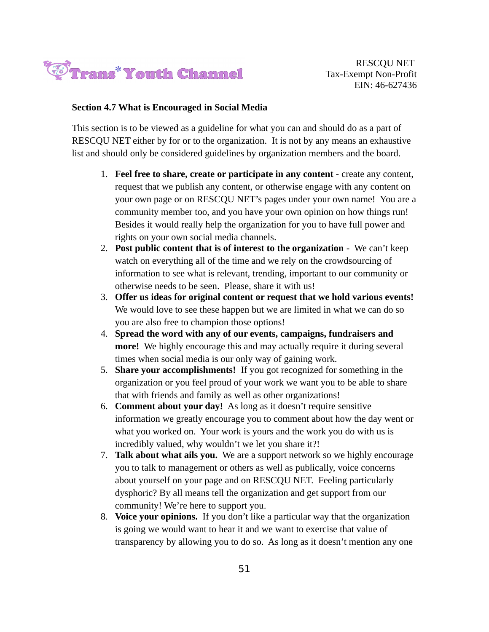

## **Section 4.7 What is Encouraged in Social Media**

This section is to be viewed as a guideline for what you can and should do as a part of RESCQU NET either by for or to the organization. It is not by any means an exhaustive list and should only be considered guidelines by organization members and the board.

- 1. **Feel free to share, create or participate in any content -** create any content, request that we publish any content, or otherwise engage with any content on your own page or on RESCQU NET's pages under your own name! You are a community member too, and you have your own opinion on how things run! Besides it would really help the organization for you to have full power and rights on your own social media channels.
- 2. **Post public content that is of interest to the organization** We can't keep watch on everything all of the time and we rely on the crowdsourcing of information to see what is relevant, trending, important to our community or otherwise needs to be seen. Please, share it with us!
- 3. **Offer us ideas for original content or request that we hold various events!**  We would love to see these happen but we are limited in what we can do so you are also free to champion those options!
- 4. **Spread the word with any of our events, campaigns, fundraisers and more!** We highly encourage this and may actually require it during several times when social media is our only way of gaining work.
- 5. **Share your accomplishments!** If you got recognized for something in the organization or you feel proud of your work we want you to be able to share that with friends and family as well as other organizations!
- 6. **Comment about your day!** As long as it doesn't require sensitive information we greatly encourage you to comment about how the day went or what you worked on. Your work is yours and the work you do with us is incredibly valued, why wouldn't we let you share it?!
- 7. **Talk about what ails you.** We are a support network so we highly encourage you to talk to management or others as well as publically, voice concerns about yourself on your page and on RESCQU NET. Feeling particularly dysphoric? By all means tell the organization and get support from our community! We're here to support you.
- 8. **Voice your opinions.** If you don't like a particular way that the organization is going we would want to hear it and we want to exercise that value of transparency by allowing you to do so. As long as it doesn't mention any one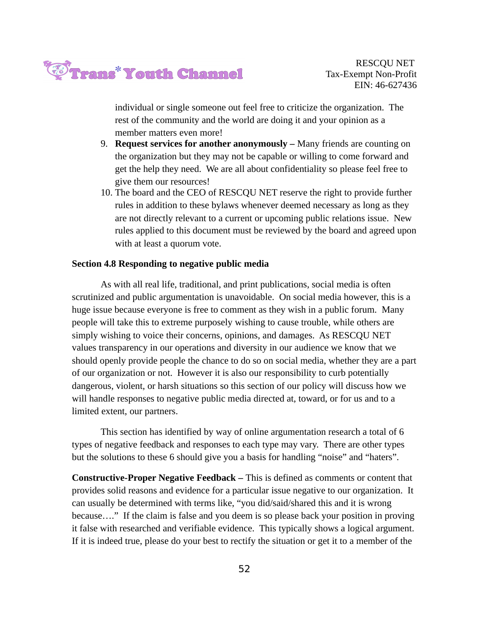

individual or single someone out feel free to criticize the organization. The rest of the community and the world are doing it and your opinion as a member matters even more!

- 9. **Request services for another anonymously –** Many friends are counting on the organization but they may not be capable or willing to come forward and get the help they need. We are all about confidentiality so please feel free to give them our resources!
- 10. The board and the CEO of RESCQU NET reserve the right to provide further rules in addition to these bylaws whenever deemed necessary as long as they are not directly relevant to a current or upcoming public relations issue. New rules applied to this document must be reviewed by the board and agreed upon with at least a quorum vote.

#### **Section 4.8 Responding to negative public media**

As with all real life, traditional, and print publications, social media is often scrutinized and public argumentation is unavoidable. On social media however, this is a huge issue because everyone is free to comment as they wish in a public forum. Many people will take this to extreme purposely wishing to cause trouble, while others are simply wishing to voice their concerns, opinions, and damages. As RESCQU NET values transparency in our operations and diversity in our audience we know that we should openly provide people the chance to do so on social media, whether they are a part of our organization or not. However it is also our responsibility to curb potentially dangerous, violent, or harsh situations so this section of our policy will discuss how we will handle responses to negative public media directed at, toward, or for us and to a limited extent, our partners.

This section has identified by way of online argumentation research a total of 6 types of negative feedback and responses to each type may vary. There are other types but the solutions to these 6 should give you a basis for handling "noise" and "haters".

**Constructive-Proper Negative Feedback –** This is defined as comments or content that provides solid reasons and evidence for a particular issue negative to our organization. It can usually be determined with terms like, "you did/said/shared this and it is wrong because…." If the claim is false and you deem is so please back your position in proving it false with researched and verifiable evidence. This typically shows a logical argument. If it is indeed true, please do your best to rectify the situation or get it to a member of the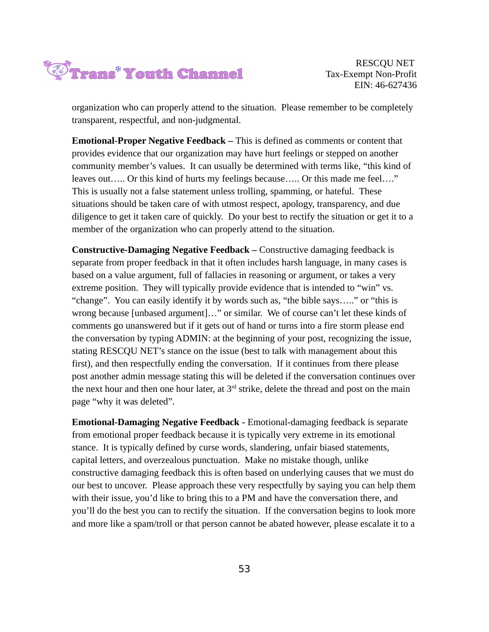

organization who can properly attend to the situation. Please remember to be completely transparent, respectful, and non-judgmental.

**Emotional-Proper Negative Feedback –** This is defined as comments or content that provides evidence that our organization may have hurt feelings or stepped on another community member's values. It can usually be determined with terms like, "this kind of leaves out….. Or this kind of hurts my feelings because….. Or this made me feel…." This is usually not a false statement unless trolling, spamming, or hateful. These situations should be taken care of with utmost respect, apology, transparency, and due diligence to get it taken care of quickly. Do your best to rectify the situation or get it to a member of the organization who can properly attend to the situation.

**Constructive-Damaging Negative Feedback –** Constructive damaging feedback is separate from proper feedback in that it often includes harsh language, in many cases is based on a value argument, full of fallacies in reasoning or argument, or takes a very extreme position. They will typically provide evidence that is intended to "win" vs. "change". You can easily identify it by words such as, "the bible says….." or "this is wrong because [unbased argument]…" or similar. We of course can't let these kinds of comments go unanswered but if it gets out of hand or turns into a fire storm please end the conversation by typing ADMIN: at the beginning of your post, recognizing the issue, stating RESCQU NET's stance on the issue (best to talk with management about this first), and then respectfully ending the conversation. If it continues from there please post another admin message stating this will be deleted if the conversation continues over the next hour and then one hour later, at  $3<sup>rd</sup>$  strike, delete the thread and post on the main page "why it was deleted".

**Emotional-Damaging Negative Feedback -** Emotional-damaging feedback is separate from emotional proper feedback because it is typically very extreme in its emotional stance. It is typically defined by curse words, slandering, unfair biased statements, capital letters, and overzealous punctuation. Make no mistake though, unlike constructive damaging feedback this is often based on underlying causes that we must do our best to uncover. Please approach these very respectfully by saying you can help them with their issue, you'd like to bring this to a PM and have the conversation there, and you'll do the best you can to rectify the situation. If the conversation begins to look more and more like a spam/troll or that person cannot be abated however, please escalate it to a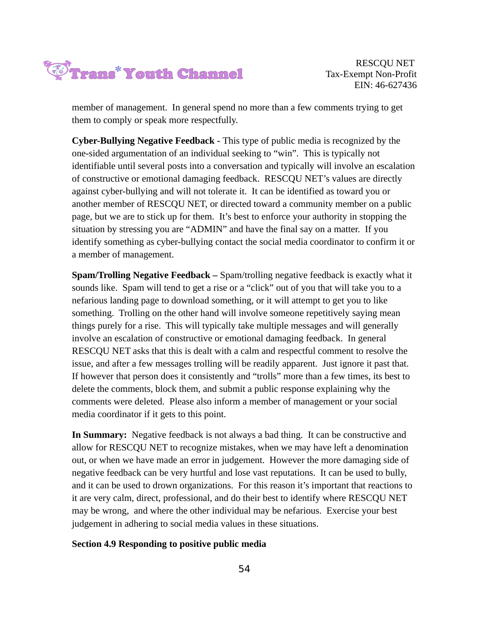

member of management. In general spend no more than a few comments trying to get them to comply or speak more respectfully.

**Cyber-Bullying Negative Feedback -** This type of public media is recognized by the one-sided argumentation of an individual seeking to "win". This is typically not identifiable until several posts into a conversation and typically will involve an escalation of constructive or emotional damaging feedback. RESCQU NET's values are directly against cyber-bullying and will not tolerate it. It can be identified as toward you or another member of RESCQU NET, or directed toward a community member on a public page, but we are to stick up for them. It's best to enforce your authority in stopping the situation by stressing you are "ADMIN" and have the final say on a matter. If you identify something as cyber-bullying contact the social media coordinator to confirm it or a member of management.

**Spam/Trolling Negative Feedback –** Spam/trolling negative feedback is exactly what it sounds like. Spam will tend to get a rise or a "click" out of you that will take you to a nefarious landing page to download something, or it will attempt to get you to like something. Trolling on the other hand will involve someone repetitively saying mean things purely for a rise. This will typically take multiple messages and will generally involve an escalation of constructive or emotional damaging feedback. In general RESCQU NET asks that this is dealt with a calm and respectful comment to resolve the issue, and after a few messages trolling will be readily apparent. Just ignore it past that. If however that person does it consistently and "trolls" more than a few times, its best to delete the comments, block them, and submit a public response explaining why the comments were deleted. Please also inform a member of management or your social media coordinator if it gets to this point.

**In Summary:** Negative feedback is not always a bad thing. It can be constructive and allow for RESCQU NET to recognize mistakes, when we may have left a denomination out, or when we have made an error in judgement. However the more damaging side of negative feedback can be very hurtful and lose vast reputations. It can be used to bully, and it can be used to drown organizations. For this reason it's important that reactions to it are very calm, direct, professional, and do their best to identify where RESCQU NET may be wrong, and where the other individual may be nefarious. Exercise your best judgement in adhering to social media values in these situations.

#### **Section 4.9 Responding to positive public media**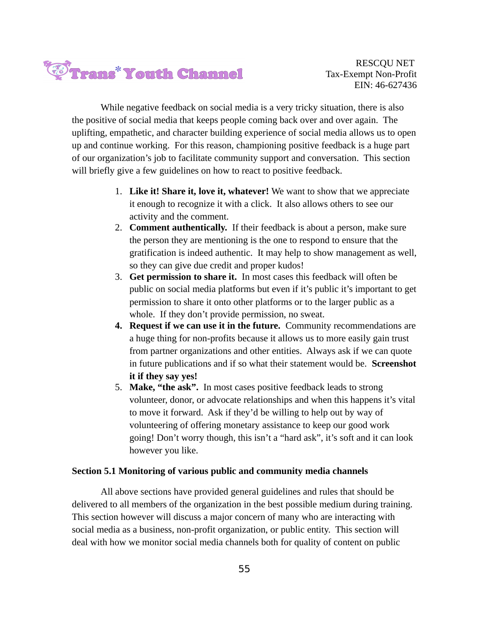

While negative feedback on social media is a very tricky situation, there is also the positive of social media that keeps people coming back over and over again. The uplifting, empathetic, and character building experience of social media allows us to open up and continue working. For this reason, championing positive feedback is a huge part of our organization's job to facilitate community support and conversation. This section will briefly give a few guidelines on how to react to positive feedback.

- 1. **Like it! Share it, love it, whatever!** We want to show that we appreciate it enough to recognize it with a click. It also allows others to see our activity and the comment.
- 2. **Comment authentically.** If their feedback is about a person, make sure the person they are mentioning is the one to respond to ensure that the gratification is indeed authentic. It may help to show management as well, so they can give due credit and proper kudos!
- 3. **Get permission to share it.** In most cases this feedback will often be public on social media platforms but even if it's public it's important to get permission to share it onto other platforms or to the larger public as a whole. If they don't provide permission, no sweat.
- **4. Request if we can use it in the future.** Community recommendations are a huge thing for non-profits because it allows us to more easily gain trust from partner organizations and other entities. Always ask if we can quote in future publications and if so what their statement would be. **Screenshot it if they say yes!**
- 5. **Make, "the ask".** In most cases positive feedback leads to strong volunteer, donor, or advocate relationships and when this happens it's vital to move it forward. Ask if they'd be willing to help out by way of volunteering of offering monetary assistance to keep our good work going! Don't worry though, this isn't a "hard ask", it's soft and it can look however you like.

#### **Section 5.1 Monitoring of various public and community media channels**

All above sections have provided general guidelines and rules that should be delivered to all members of the organization in the best possible medium during training. This section however will discuss a major concern of many who are interacting with social media as a business, non-profit organization, or public entity. This section will deal with how we monitor social media channels both for quality of content on public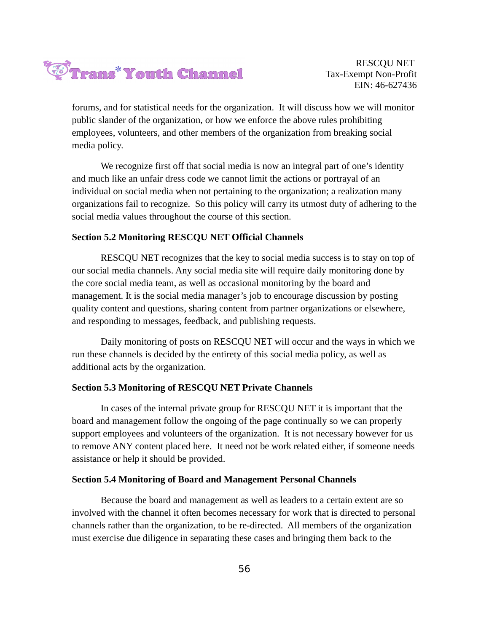

forums, and for statistical needs for the organization. It will discuss how we will monitor public slander of the organization, or how we enforce the above rules prohibiting employees, volunteers, and other members of the organization from breaking social media policy.

We recognize first off that social media is now an integral part of one's identity and much like an unfair dress code we cannot limit the actions or portrayal of an individual on social media when not pertaining to the organization; a realization many organizations fail to recognize. So this policy will carry its utmost duty of adhering to the social media values throughout the course of this section.

#### **Section 5.2 Monitoring RESCQU NET Official Channels**

RESCQU NET recognizes that the key to social media success is to stay on top of our social media channels. Any social media site will require daily monitoring done by the core social media team, as well as occasional monitoring by the board and management. It is the social media manager's job to encourage discussion by posting quality content and questions, sharing content from partner organizations or elsewhere, and responding to messages, feedback, and publishing requests.

Daily monitoring of posts on RESCQU NET will occur and the ways in which we run these channels is decided by the entirety of this social media policy, as well as additional acts by the organization.

#### **Section 5.3 Monitoring of RESCQU NET Private Channels**

In cases of the internal private group for RESCQU NET it is important that the board and management follow the ongoing of the page continually so we can properly support employees and volunteers of the organization. It is not necessary however for us to remove ANY content placed here. It need not be work related either, if someone needs assistance or help it should be provided.

#### **Section 5.4 Monitoring of Board and Management Personal Channels**

Because the board and management as well as leaders to a certain extent are so involved with the channel it often becomes necessary for work that is directed to personal channels rather than the organization, to be re-directed. All members of the organization must exercise due diligence in separating these cases and bringing them back to the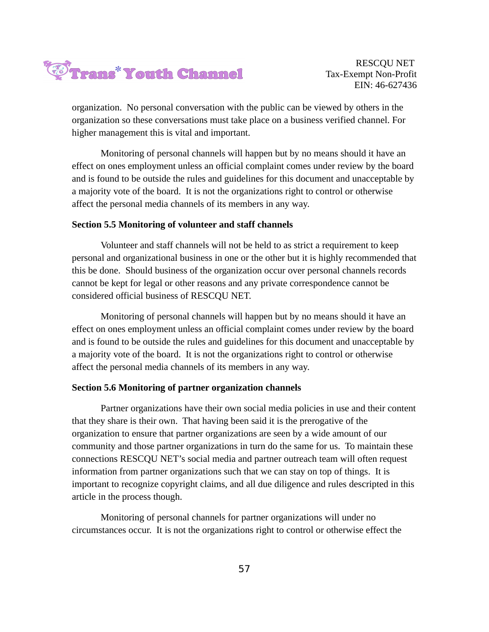

organization. No personal conversation with the public can be viewed by others in the organization so these conversations must take place on a business verified channel. For higher management this is vital and important.

Monitoring of personal channels will happen but by no means should it have an effect on ones employment unless an official complaint comes under review by the board and is found to be outside the rules and guidelines for this document and unacceptable by a majority vote of the board. It is not the organizations right to control or otherwise affect the personal media channels of its members in any way.

#### **Section 5.5 Monitoring of volunteer and staff channels**

Volunteer and staff channels will not be held to as strict a requirement to keep personal and organizational business in one or the other but it is highly recommended that this be done. Should business of the organization occur over personal channels records cannot be kept for legal or other reasons and any private correspondence cannot be considered official business of RESCQU NET.

Monitoring of personal channels will happen but by no means should it have an effect on ones employment unless an official complaint comes under review by the board and is found to be outside the rules and guidelines for this document and unacceptable by a majority vote of the board. It is not the organizations right to control or otherwise affect the personal media channels of its members in any way.

#### **Section 5.6 Monitoring of partner organization channels**

Partner organizations have their own social media policies in use and their content that they share is their own. That having been said it is the prerogative of the organization to ensure that partner organizations are seen by a wide amount of our community and those partner organizations in turn do the same for us. To maintain these connections RESCQU NET's social media and partner outreach team will often request information from partner organizations such that we can stay on top of things. It is important to recognize copyright claims, and all due diligence and rules descripted in this article in the process though.

Monitoring of personal channels for partner organizations will under no circumstances occur. It is not the organizations right to control or otherwise effect the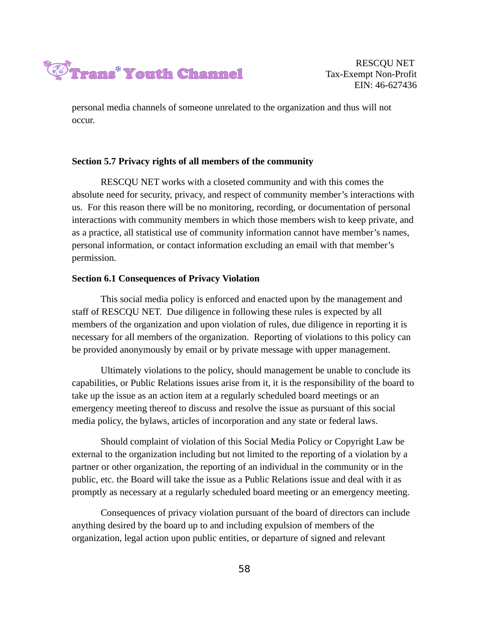

personal media channels of someone unrelated to the organization and thus will not occur.

#### **Section 5.7 Privacy rights of all members of the community**

RESCQU NET works with a closeted community and with this comes the absolute need for security, privacy, and respect of community member's interactions with us. For this reason there will be no monitoring, recording, or documentation of personal interactions with community members in which those members wish to keep private, and as a practice, all statistical use of community information cannot have member's names, personal information, or contact information excluding an email with that member's permission.

#### **Section 6.1 Consequences of Privacy Violation**

This social media policy is enforced and enacted upon by the management and staff of RESCQU NET. Due diligence in following these rules is expected by all members of the organization and upon violation of rules, due diligence in reporting it is necessary for all members of the organization. Reporting of violations to this policy can be provided anonymously by email or by private message with upper management.

Ultimately violations to the policy, should management be unable to conclude its capabilities, or Public Relations issues arise from it, it is the responsibility of the board to take up the issue as an action item at a regularly scheduled board meetings or an emergency meeting thereof to discuss and resolve the issue as pursuant of this social media policy, the bylaws, articles of incorporation and any state or federal laws.

Should complaint of violation of this Social Media Policy or Copyright Law be external to the organization including but not limited to the reporting of a violation by a partner or other organization, the reporting of an individual in the community or in the public, etc. the Board will take the issue as a Public Relations issue and deal with it as promptly as necessary at a regularly scheduled board meeting or an emergency meeting.

Consequences of privacy violation pursuant of the board of directors can include anything desired by the board up to and including expulsion of members of the organization, legal action upon public entities, or departure of signed and relevant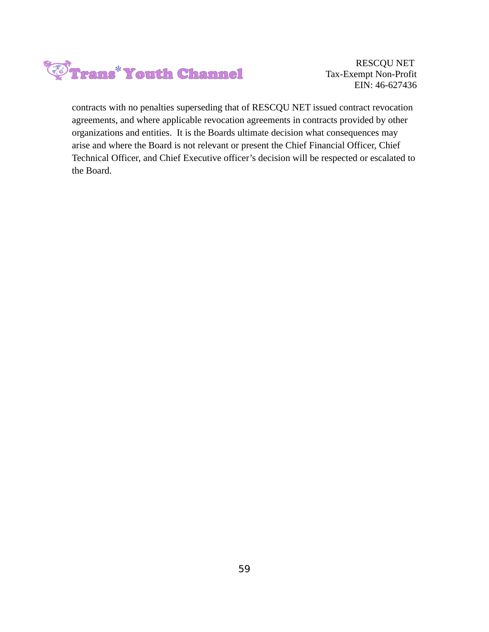

contracts with no penalties superseding that of RESCQU NET issued contract revocation agreements, and where applicable revocation agreements in contracts provided by other organizations and entities. It is the Boards ultimate decision what consequences may arise and where the Board is not relevant or present the Chief Financial Officer, Chief Technical Officer, and Chief Executive officer's decision will be respected or escalated to the Board.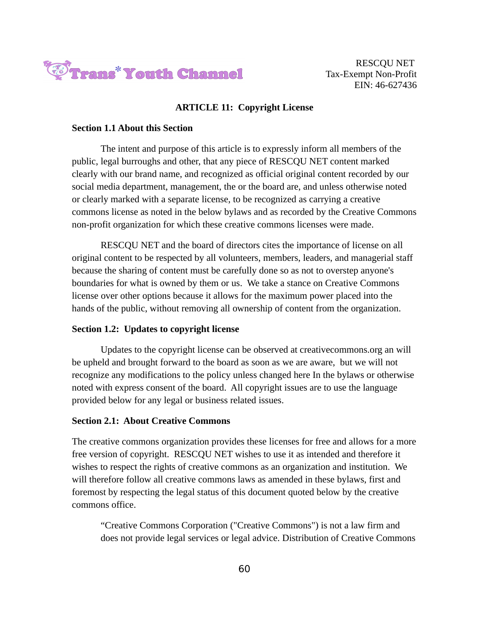

## **ARTICLE 11: Copyright License**

### **Section 1.1 About this Section**

The intent and purpose of this article is to expressly inform all members of the public, legal burroughs and other, that any piece of RESCQU NET content marked clearly with our brand name, and recognized as official original content recorded by our social media department, management, the or the board are, and unless otherwise noted or clearly marked with a separate license, to be recognized as carrying a creative commons license as noted in the below bylaws and as recorded by the Creative Commons non-profit organization for which these creative commons licenses were made.

RESCQU NET and the board of directors cites the importance of license on all original content to be respected by all volunteers, members, leaders, and managerial staff because the sharing of content must be carefully done so as not to overstep anyone's boundaries for what is owned by them or us. We take a stance on Creative Commons license over other options because it allows for the maximum power placed into the hands of the public, without removing all ownership of content from the organization.

## **Section 1.2: Updates to copyright license**

Updates to the copyright license can be observed at creativecommons.org an will be upheld and brought forward to the board as soon as we are aware, but we will not recognize any modifications to the policy unless changed here In the bylaws or otherwise noted with express consent of the board. All copyright issues are to use the language provided below for any legal or business related issues.

## **Section 2.1: About Creative Commons**

The creative commons organization provides these licenses for free and allows for a more free version of copyright. RESCQU NET wishes to use it as intended and therefore it wishes to respect the rights of creative commons as an organization and institution. We will therefore follow all creative commons laws as amended in these bylaws, first and foremost by respecting the legal status of this document quoted below by the creative commons office.

"Creative Commons Corporation ("Creative Commons") is not a law firm and does not provide legal services or legal advice. Distribution of Creative Commons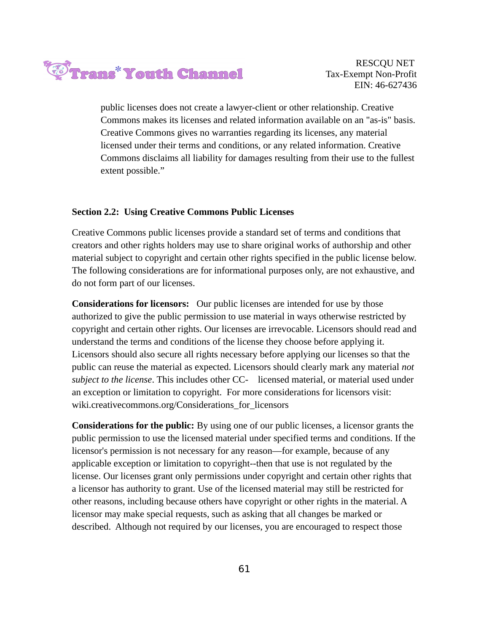

public licenses does not create a lawyer-client or other relationship. Creative Commons makes its licenses and related information available on an "as-is" basis. Creative Commons gives no warranties regarding its licenses, any material licensed under their terms and conditions, or any related information. Creative Commons disclaims all liability for damages resulting from their use to the fullest extent possible."

#### **Section 2.2: Using Creative Commons Public Licenses**

Creative Commons public licenses provide a standard set of terms and conditions that creators and other rights holders may use to share original works of authorship and other material subject to copyright and certain other rights specified in the public license below. The following considerations are for informational purposes only, are not exhaustive, and do not form part of our licenses.

**Considerations for licensors:** Our public licenses are intended for use by those authorized to give the public permission to use material in ways otherwise restricted by copyright and certain other rights. Our licenses are irrevocable. Licensors should read and understand the terms and conditions of the license they choose before applying it. Licensors should also secure all rights necessary before applying our licenses so that the public can reuse the material as expected. Licensors should clearly mark any material *not subject to the license*. This includes other CC- licensed material, or material used under an exception or limitation to copyright. For more considerations for licensors visit: wiki.creativecommons.org/Considerations for licensors

**Considerations for the public:** By using one of our public licenses, a licensor grants the public permission to use the licensed material under specified terms and conditions. If the licensor's permission is not necessary for any reason—for example, because of any applicable exception or limitation to copyright--then that use is not regulated by the license. Our licenses grant only permissions under copyright and certain other rights that a licensor has authority to grant. Use of the licensed material may still be restricted for other reasons, including because others have copyright or other rights in the material. A licensor may make special requests, such as asking that all changes be marked or described. Although not required by our licenses, you are encouraged to respect those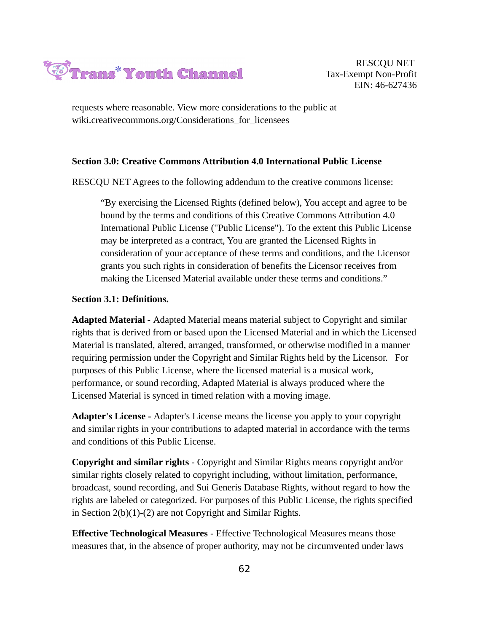

requests where reasonable. View more considerations to the public at wiki.creativecommons.org/Considerations\_for\_licensees

## **Section 3.0: Creative Commons Attribution 4.0 International Public License**

RESCQU NET Agrees to the following addendum to the creative commons license:

"By exercising the Licensed Rights (defined below), You accept and agree to be bound by the terms and conditions of this Creative Commons Attribution 4.0 International Public License ("Public License"). To the extent this Public License may be interpreted as a contract, You are granted the Licensed Rights in consideration of your acceptance of these terms and conditions, and the Licensor grants you such rights in consideration of benefits the Licensor receives from making the Licensed Material available under these terms and conditions."

## **Section 3.1: Definitions.**

**Adapted Material -** Adapted Material means material subject to Copyright and similar rights that is derived from or based upon the Licensed Material and in which the Licensed Material is translated, altered, arranged, transformed, or otherwise modified in a manner requiring permission under the Copyright and Similar Rights held by the Licensor. For purposes of this Public License, where the licensed material is a musical work, performance, or sound recording, Adapted Material is always produced where the Licensed Material is synced in timed relation with a moving image.

**Adapter's License -** Adapter's License means the license you apply to your copyright and similar rights in your contributions to adapted material in accordance with the terms and conditions of this Public License.

**Copyright and similar rights** - Copyright and Similar Rights means copyright and/or similar rights closely related to copyright including, without limitation, performance, broadcast, sound recording, and Sui Generis Database Rights, without regard to how the rights are labeled or categorized. For purposes of this Public License, the rights specified in Section 2(b)(1)-(2) are not Copyright and Similar Rights.

**Effective Technological Measures** - Effective Technological Measures means those measures that, in the absence of proper authority, may not be circumvented under laws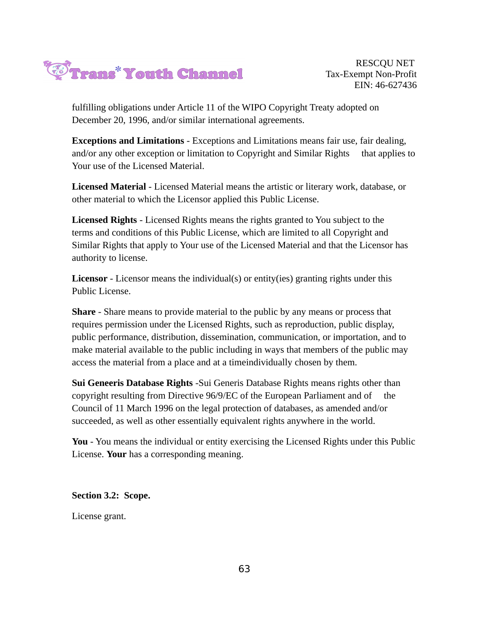

fulfilling obligations under Article 11 of the WIPO Copyright Treaty adopted on December 20, 1996, and/or similar international agreements.

**Exceptions and Limitations** - Exceptions and Limitations means fair use, fair dealing, and/or any other exception or limitation to Copyright and Similar Rights that applies to Your use of the Licensed Material.

**Licensed Material** - Licensed Material means the artistic or literary work, database, or other material to which the Licensor applied this Public License.

**Licensed Rights** - Licensed Rights means the rights granted to You subject to the terms and conditions of this Public License, which are limited to all Copyright and Similar Rights that apply to Your use of the Licensed Material and that the Licensor has authority to license.

**Licensor** - Licensor means the individual(s) or entity(ies) granting rights under this Public License.

**Share** - Share means to provide material to the public by any means or process that requires permission under the Licensed Rights, such as reproduction, public display, public performance, distribution, dissemination, communication, or importation, and to make material available to the public including in ways that members of the public may access the material from a place and at a timeindividually chosen by them.

**Sui Geneeris Database Rights** -Sui Generis Database Rights means rights other than copyright resulting from Directive 96/9/EC of the European Parliament and of the Council of 11 March 1996 on the legal protection of databases, as amended and/or succeeded, as well as other essentially equivalent rights anywhere in the world.

**You** - You means the individual or entity exercising the Licensed Rights under this Public License. **Your** has a corresponding meaning.

**Section 3.2: Scope.**

License grant.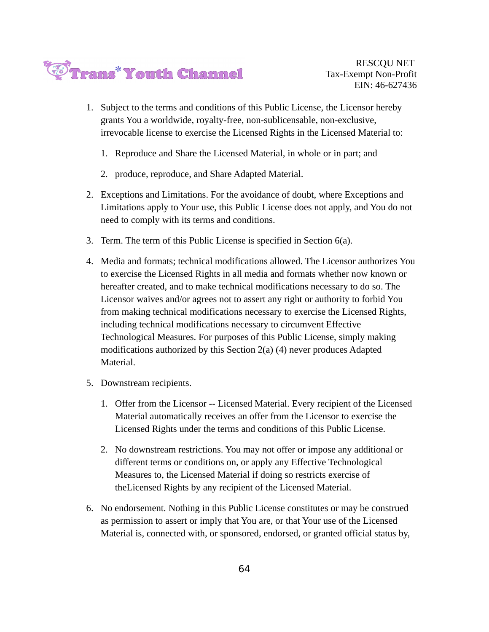

- 1. Subject to the terms and conditions of this Public License, the Licensor hereby grants You a worldwide, royalty-free, non-sublicensable, non-exclusive, irrevocable license to exercise the Licensed Rights in the Licensed Material to:
	- 1. Reproduce and Share the Licensed Material, in whole or in part; and
	- 2. produce, reproduce, and Share Adapted Material.
- 2. Exceptions and Limitations. For the avoidance of doubt, where Exceptions and Limitations apply to Your use, this Public License does not apply, and You do not need to comply with its terms and conditions.
- 3. Term. The term of this Public License is specified in Section 6(a).
- 4. Media and formats; technical modifications allowed. The Licensor authorizes You to exercise the Licensed Rights in all media and formats whether now known or hereafter created, and to make technical modifications necessary to do so. The Licensor waives and/or agrees not to assert any right or authority to forbid You from making technical modifications necessary to exercise the Licensed Rights, including technical modifications necessary to circumvent Effective Technological Measures. For purposes of this Public License, simply making modifications authorized by this Section 2(a) (4) never produces Adapted Material.
- 5. Downstream recipients.
	- 1. Offer from the Licensor -- Licensed Material. Every recipient of the Licensed Material automatically receives an offer from the Licensor to exercise the Licensed Rights under the terms and conditions of this Public License.
	- 2. No downstream restrictions. You may not offer or impose any additional or different terms or conditions on, or apply any Effective Technological Measures to, the Licensed Material if doing so restricts exercise of theLicensed Rights by any recipient of the Licensed Material.
- 6. No endorsement. Nothing in this Public License constitutes or may be construed as permission to assert or imply that You are, or that Your use of the Licensed Material is, connected with, or sponsored, endorsed, or granted official status by,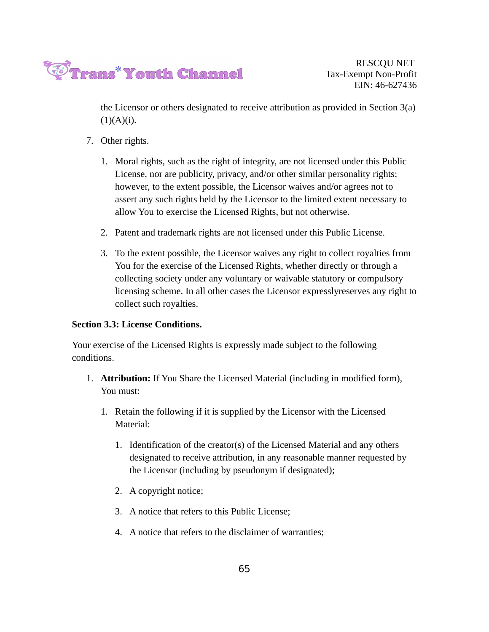

the Licensor or others designated to receive attribution as provided in Section 3(a)  $(1)(A)(i).$ 

- 7. Other rights.
	- 1. Moral rights, such as the right of integrity, are not licensed under this Public License, nor are publicity, privacy, and/or other similar personality rights; however, to the extent possible, the Licensor waives and/or agrees not to assert any such rights held by the Licensor to the limited extent necessary to allow You to exercise the Licensed Rights, but not otherwise.
	- 2. Patent and trademark rights are not licensed under this Public License.
	- 3. To the extent possible, the Licensor waives any right to collect royalties from You for the exercise of the Licensed Rights, whether directly or through a collecting society under any voluntary or waivable statutory or compulsory licensing scheme. In all other cases the Licensor expresslyreserves any right to collect such royalties.

## **Section 3.3: License Conditions.**

Your exercise of the Licensed Rights is expressly made subject to the following conditions.

- 1. **Attribution:** If You Share the Licensed Material (including in modified form), You must:
	- 1. Retain the following if it is supplied by the Licensor with the Licensed Material:
		- 1. Identification of the creator(s) of the Licensed Material and any others designated to receive attribution, in any reasonable manner requested by the Licensor (including by pseudonym if designated);
		- 2. A copyright notice;
		- 3. A notice that refers to this Public License;
		- 4. A notice that refers to the disclaimer of warranties;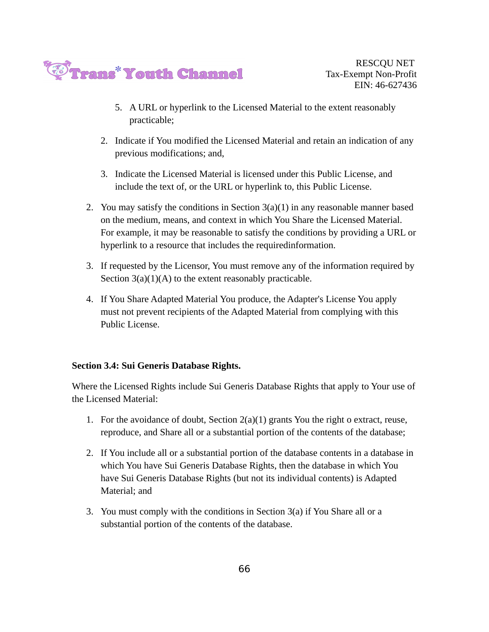

- 5. A URL or hyperlink to the Licensed Material to the extent reasonably practicable;
- 2. Indicate if You modified the Licensed Material and retain an indication of any previous modifications; and,
- 3. Indicate the Licensed Material is licensed under this Public License, and include the text of, or the URL or hyperlink to, this Public License.
- 2. You may satisfy the conditions in Section  $3(a)(1)$  in any reasonable manner based on the medium, means, and context in which You Share the Licensed Material. For example, it may be reasonable to satisfy the conditions by providing a URL or hyperlink to a resource that includes the requiredinformation.
- 3. If requested by the Licensor, You must remove any of the information required by Section  $3(a)(1)(A)$  to the extent reasonably practicable.
- 4. If You Share Adapted Material You produce, the Adapter's License You apply must not prevent recipients of the Adapted Material from complying with this Public License.

# **Section 3.4: Sui Generis Database Rights.**

Where the Licensed Rights include Sui Generis Database Rights that apply to Your use of the Licensed Material:

- 1. For the avoidance of doubt, Section 2(a)(1) grants You the right o extract, reuse, reproduce, and Share all or a substantial portion of the contents of the database;
- 2. If You include all or a substantial portion of the database contents in a database in which You have Sui Generis Database Rights, then the database in which You have Sui Generis Database Rights (but not its individual contents) is Adapted Material; and
- 3. You must comply with the conditions in Section 3(a) if You Share all or a substantial portion of the contents of the database.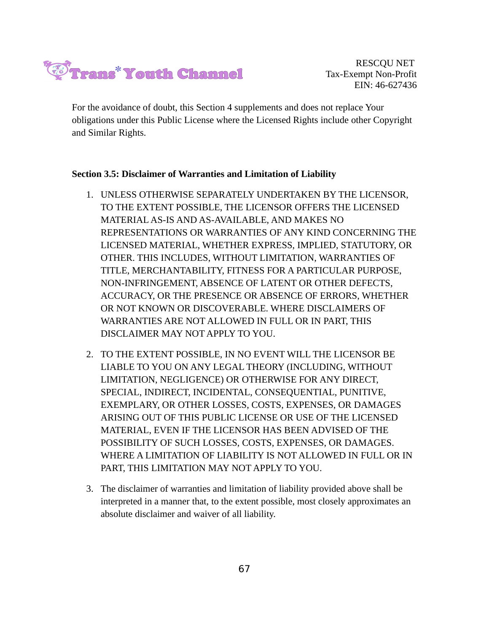

For the avoidance of doubt, this Section 4 supplements and does not replace Your obligations under this Public License where the Licensed Rights include other Copyright and Similar Rights.

# **Section 3.5: Disclaimer of Warranties and Limitation of Liability**

- 1. UNLESS OTHERWISE SEPARATELY UNDERTAKEN BY THE LICENSOR, TO THE EXTENT POSSIBLE, THE LICENSOR OFFERS THE LICENSED MATERIAL AS-IS AND AS-AVAILABLE, AND MAKES NO REPRESENTATIONS OR WARRANTIES OF ANY KIND CONCERNING THE LICENSED MATERIAL, WHETHER EXPRESS, IMPLIED, STATUTORY, OR OTHER. THIS INCLUDES, WITHOUT LIMITATION, WARRANTIES OF TITLE, MERCHANTABILITY, FITNESS FOR A PARTICULAR PURPOSE, NON-INFRINGEMENT, ABSENCE OF LATENT OR OTHER DEFECTS, ACCURACY, OR THE PRESENCE OR ABSENCE OF ERRORS, WHETHER OR NOT KNOWN OR DISCOVERABLE. WHERE DISCLAIMERS OF WARRANTIES ARE NOT ALLOWED IN FULL OR IN PART, THIS DISCLAIMER MAY NOT APPLY TO YOU.
- 2. TO THE EXTENT POSSIBLE, IN NO EVENT WILL THE LICENSOR BE LIABLE TO YOU ON ANY LEGAL THEORY (INCLUDING, WITHOUT LIMITATION, NEGLIGENCE) OR OTHERWISE FOR ANY DIRECT, SPECIAL, INDIRECT, INCIDENTAL, CONSEQUENTIAL, PUNITIVE, EXEMPLARY, OR OTHER LOSSES, COSTS, EXPENSES, OR DAMAGES ARISING OUT OF THIS PUBLIC LICENSE OR USE OF THE LICENSED MATERIAL, EVEN IF THE LICENSOR HAS BEEN ADVISED OF THE POSSIBILITY OF SUCH LOSSES, COSTS, EXPENSES, OR DAMAGES. WHERE A LIMITATION OF LIABILITY IS NOT ALLOWED IN FULL OR IN PART, THIS LIMITATION MAY NOT APPLY TO YOU.
- 3. The disclaimer of warranties and limitation of liability provided above shall be interpreted in a manner that, to the extent possible, most closely approximates an absolute disclaimer and waiver of all liability.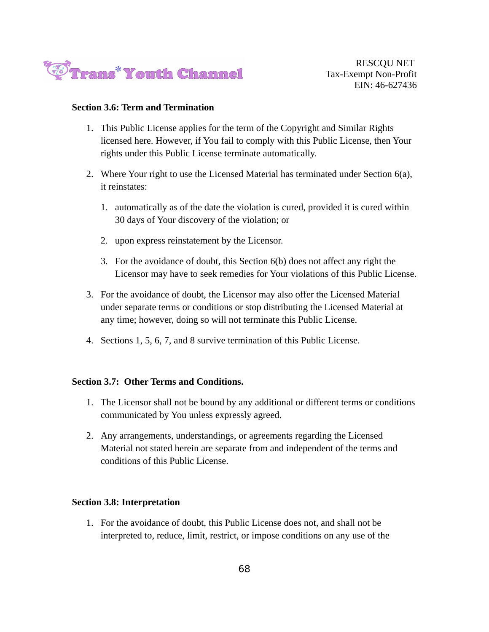

## **Section 3.6: Term and Termination**

- 1. This Public License applies for the term of the Copyright and Similar Rights licensed here. However, if You fail to comply with this Public License, then Your rights under this Public License terminate automatically.
- 2. Where Your right to use the Licensed Material has terminated under Section 6(a), it reinstates:
	- 1. automatically as of the date the violation is cured, provided it is cured within 30 days of Your discovery of the violation; or
	- 2. upon express reinstatement by the Licensor.
	- 3. For the avoidance of doubt, this Section 6(b) does not affect any right the Licensor may have to seek remedies for Your violations of this Public License.
- 3. For the avoidance of doubt, the Licensor may also offer the Licensed Material under separate terms or conditions or stop distributing the Licensed Material at any time; however, doing so will not terminate this Public License.
- 4. Sections 1, 5, 6, 7, and 8 survive termination of this Public License.

## **Section 3.7: Other Terms and Conditions.**

- 1. The Licensor shall not be bound by any additional or different terms or conditions communicated by You unless expressly agreed.
- 2. Any arrangements, understandings, or agreements regarding the Licensed Material not stated herein are separate from and independent of the terms and conditions of this Public License.

## **Section 3.8: Interpretation**

1. For the avoidance of doubt, this Public License does not, and shall not be interpreted to, reduce, limit, restrict, or impose conditions on any use of the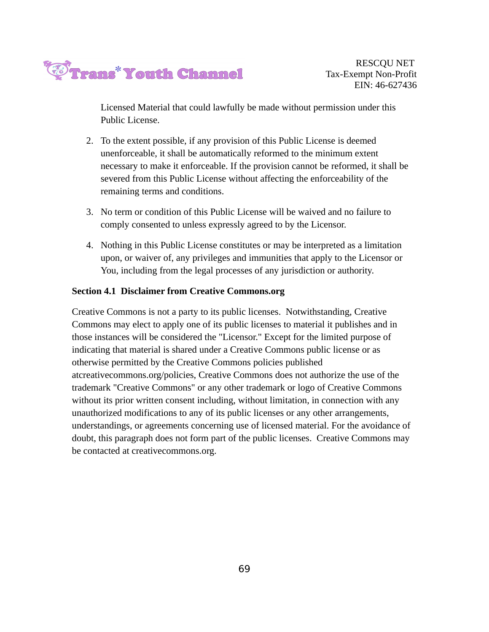

Licensed Material that could lawfully be made without permission under this Public License.

- 2. To the extent possible, if any provision of this Public License is deemed unenforceable, it shall be automatically reformed to the minimum extent necessary to make it enforceable. If the provision cannot be reformed, it shall be severed from this Public License without affecting the enforceability of the remaining terms and conditions.
- 3. No term or condition of this Public License will be waived and no failure to comply consented to unless expressly agreed to by the Licensor.
- 4. Nothing in this Public License constitutes or may be interpreted as a limitation upon, or waiver of, any privileges and immunities that apply to the Licensor or You, including from the legal processes of any jurisdiction or authority.

## **Section 4.1 Disclaimer from Creative Commons.org**

Creative Commons is not a party to its public licenses. Notwithstanding, Creative Commons may elect to apply one of its public licenses to material it publishes and in those instances will be considered the "Licensor." Except for the limited purpose of indicating that material is shared under a Creative Commons public license or as otherwise permitted by the Creative Commons policies published atcreativecommons.org/policies, Creative Commons does not authorize the use of the trademark "Creative Commons" or any other trademark or logo of Creative Commons without its prior written consent including, without limitation, in connection with any unauthorized modifications to any of its public licenses or any other arrangements, understandings, or agreements concerning use of licensed material. For the avoidance of doubt, this paragraph does not form part of the public licenses. Creative Commons may be contacted at creativecommons.org.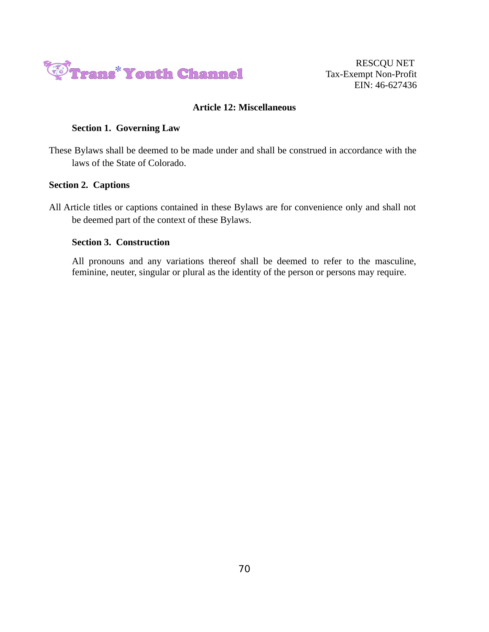

### **Article 12: Miscellaneous**

## **Section 1. Governing Law**

These Bylaws shall be deemed to be made under and shall be construed in accordance with the laws of the State of Colorado.

### **Section 2. Captions**

All Article titles or captions contained in these Bylaws are for convenience only and shall not be deemed part of the context of these Bylaws.

## **Section 3. Construction**

All pronouns and any variations thereof shall be deemed to refer to the masculine, feminine, neuter, singular or plural as the identity of the person or persons may require.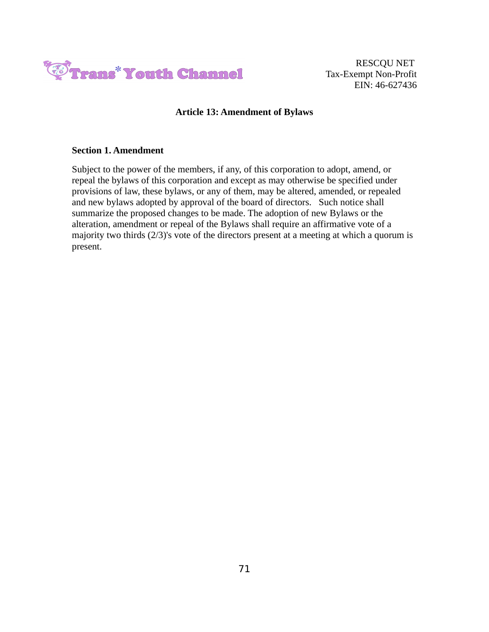

### **Article 13: Amendment of Bylaws**

#### **Section 1. Amendment**

Subject to the power of the members, if any, of this corporation to adopt, amend, or repeal the bylaws of this corporation and except as may otherwise be specified under provisions of law, these bylaws, or any of them, may be altered, amended, or repealed and new bylaws adopted by approval of the board of directors. Such notice shall summarize the proposed changes to be made. The adoption of new Bylaws or the alteration, amendment or repeal of the Bylaws shall require an affirmative vote of a majority two thirds (2/3)'s vote of the directors present at a meeting at which a quorum is present.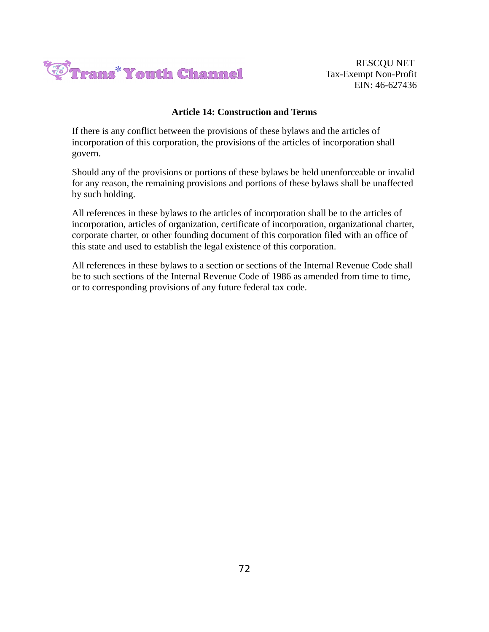

## **Article 14: Construction and Terms**

If there is any conflict between the provisions of these bylaws and the articles of incorporation of this corporation, the provisions of the articles of incorporation shall govern.

Should any of the provisions or portions of these bylaws be held unenforceable or invalid for any reason, the remaining provisions and portions of these bylaws shall be unaffected by such holding.

All references in these bylaws to the articles of incorporation shall be to the articles of incorporation, articles of organization, certificate of incorporation, organizational charter, corporate charter, or other founding document of this corporation filed with an office of this state and used to establish the legal existence of this corporation.

All references in these bylaws to a section or sections of the Internal Revenue Code shall be to such sections of the Internal Revenue Code of 1986 as amended from time to time, or to corresponding provisions of any future federal tax code.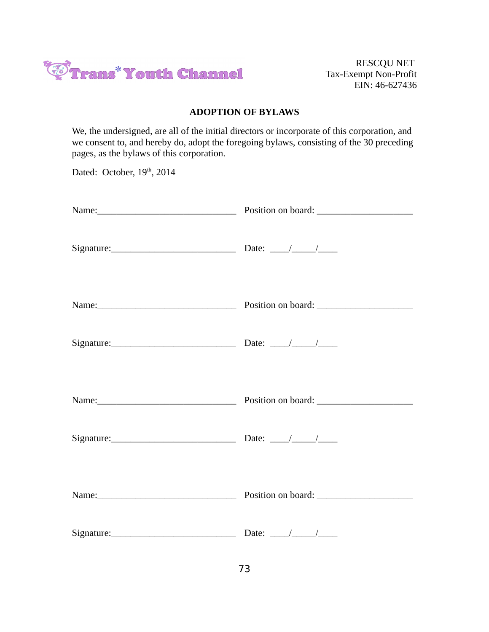

## **ADOPTION OF BYLAWS**

We, the undersigned, are all of the initial directors or incorporate of this corporation, and we consent to, and hereby do, adopt the foregoing bylaws, consisting of the 30 preceding pages, as the bylaws of this corporation.

Dated: October, 19<sup>th</sup>, 2014

| Name: Name: Name: Name: Name: Name: Name: Name: Name: Name: Name: Name: Name: Name: Name: Name: Name: Name: Name: Name: Name: Name: Name: Name: Name: Name: Name: Name: Name: Name: Name: Name: Name: Name: Name: Name: Name: |
|-------------------------------------------------------------------------------------------------------------------------------------------------------------------------------------------------------------------------------|
|                                                                                                                                                                                                                               |
| Name: Name: Name: Name: Name: Name: Name: Name: Name: Name: Name: Name: Name: Name: Name: Name: Name: Name: Name: Name: Name: Name: Name: Name: Name: Name: Name: Name: Name: Name: Name: Name: Name: Name: Name: Name: Name: |
|                                                                                                                                                                                                                               |
|                                                                                                                                                                                                                               |
|                                                                                                                                                                                                                               |
| Name: Name: Name: Name: Name: Name: Name: Name: Name: Name: Name: Name: Name: Name: Name: Name: Name: Name: Name: Name: Name: Name: Name: Name: Name: Name: Name: Name: Name: Name: Name: Name: Name: Name: Name: Name: Name: |
|                                                                                                                                                                                                                               |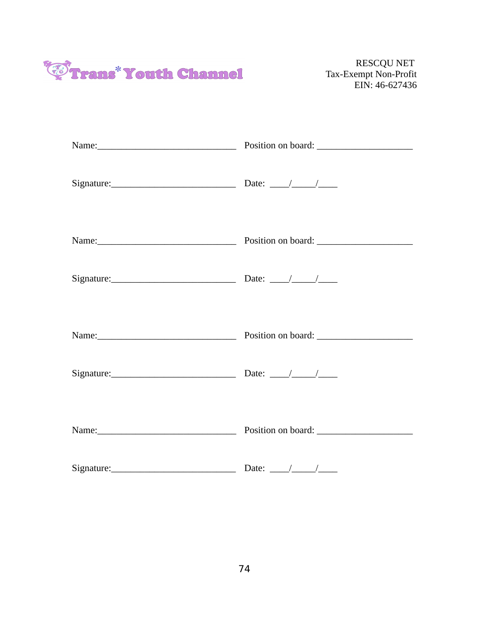

| Name: Name: Name: Name: Name: Name: Name: Name: Name: Name: Name: Name: Name: Name: Name: Name: Name: Name: Name: Name: Name: Name: Name: Name: Name: Name: Name: Name: Name: Name: Name: Name: Name: Name: Name: Name: Name: |
|-------------------------------------------------------------------------------------------------------------------------------------------------------------------------------------------------------------------------------|
|                                                                                                                                                                                                                               |
| Name: Name: Name: Name: Name: Name: Name: Name: Name: Name: Name: Name: Name: Name: Name: Name: Name: Name: Name: Name: Name: Name: Name: Name: Name: Name: Name: Name: Name: Name: Name: Name: Name: Name: Name: Name: Name: |
|                                                                                                                                                                                                                               |
|                                                                                                                                                                                                                               |
|                                                                                                                                                                                                                               |